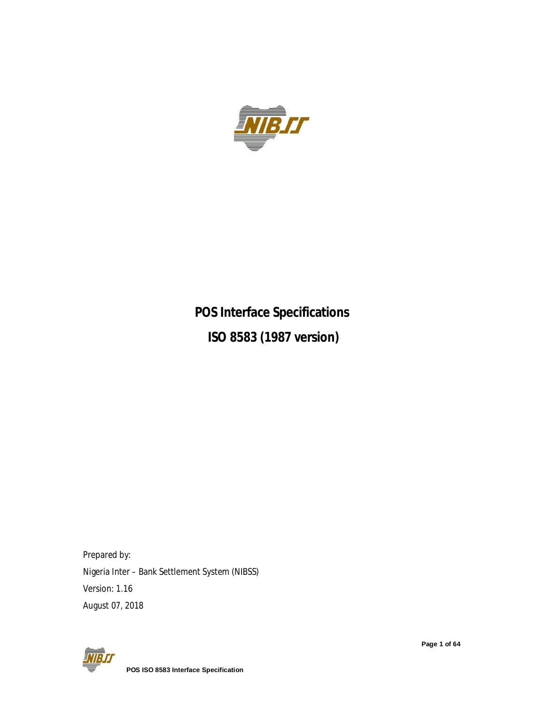

# **POS Interface Specifications ISO 8583 (1987 version)**

Prepared by: Nigeria Inter – Bank Settlement System (NIBSS) Version: 1.16 August 07, 2018



**Page 1 of 64**

 **POS ISO 8583 Interface Specification**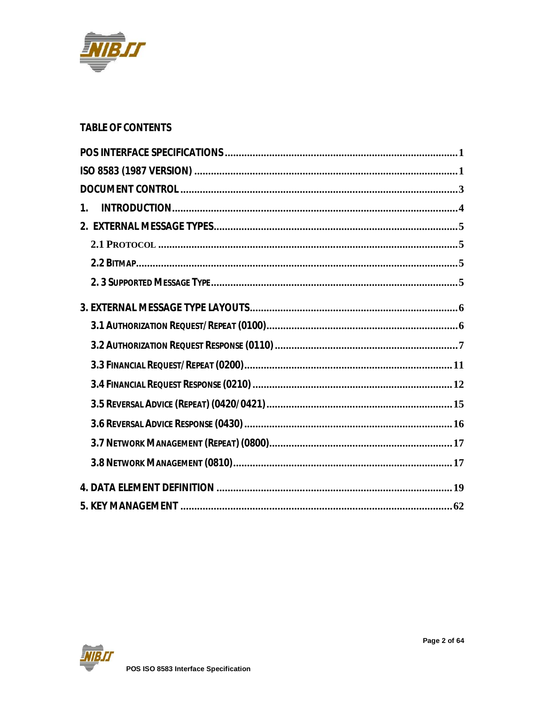

### **TABLE OF CONTENTS**

| 1 <sub>1</sub> |
|----------------|
|                |
|                |
|                |
|                |
|                |
|                |
|                |
|                |
|                |
|                |
|                |
|                |
|                |
|                |
|                |

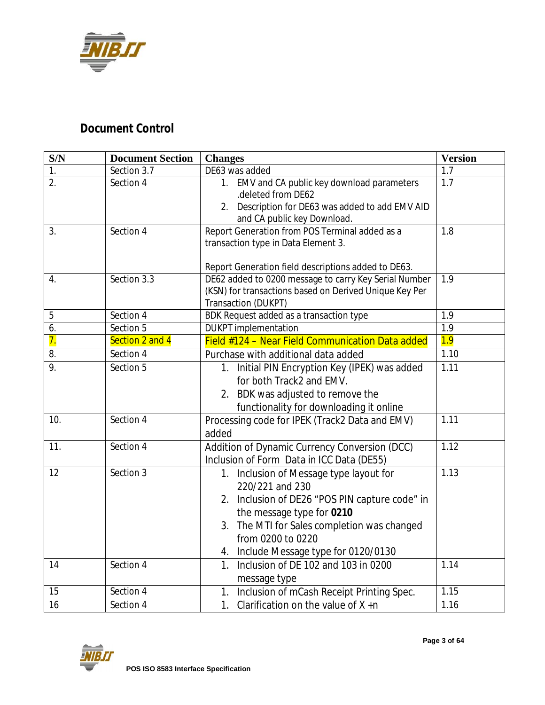

## *Document Control*

| S/N              | <b>Document Section</b> | <b>Changes</b>                                                                                                                                                                                                                                            | <b>Version</b> |
|------------------|-------------------------|-----------------------------------------------------------------------------------------------------------------------------------------------------------------------------------------------------------------------------------------------------------|----------------|
| 1.               | Section 3.7             | DE63 was added                                                                                                                                                                                                                                            | 1.7            |
| $\overline{2}$ . | Section 4               | 1. EMV and CA public key download parameters<br>.deleted from DE62<br>Description for DE63 was added to add EMV AID<br>2.                                                                                                                                 | 1.7            |
|                  |                         | and CA public key Download.                                                                                                                                                                                                                               |                |
| 3.               | Section 4               | Report Generation from POS Terminal added as a<br>transaction type in Data Element 3.<br>Report Generation field descriptions added to DE63.                                                                                                              | 1.8            |
| 4.               | Section 3.3             | DE62 added to 0200 message to carry Key Serial Number<br>(KSN) for transactions based on Derived Unique Key Per<br>Transaction (DUKPT)                                                                                                                    | 1.9            |
| 5                | Section 4               | BDK Request added as a transaction type                                                                                                                                                                                                                   | 1.9            |
| 6.               | Section 5               | <b>DUKPT</b> implementation                                                                                                                                                                                                                               | 1.9            |
| $\overline{7}$ . | Section 2 and 4         | Field #124 - Near Field Communication Data added                                                                                                                                                                                                          | 1.9            |
| 8.               | Section 4               | Purchase with additional data added                                                                                                                                                                                                                       | 1.10           |
| 9.               | Section 5               | 1. Initial PIN Encryption Key (IPEK) was added<br>for both Track2 and EMV.<br>2. BDK was adjusted to remove the<br>functionality for downloading it online                                                                                                | 1.11           |
| 10.              | Section 4               | Processing code for IPEK (Track2 Data and EMV)<br>added                                                                                                                                                                                                   | 1.11           |
| 11.              | Section 4               | Addition of Dynamic Currency Conversion (DCC)<br>Inclusion of Form Data in ICC Data (DE55)                                                                                                                                                                | 1.12           |
| 12               | Section 3               | 1. Inclusion of Message type layout for<br>220/221 and 230<br>2. Inclusion of DE26 "POS PIN capture code" in<br>the message type for 0210<br>The MTI for Sales completion was changed<br>3.<br>from 0200 to 0220<br>4. Include Message type for 0120/0130 | 1.13           |
| 14               | Section 4               | Inclusion of DE 102 and 103 in 0200<br>1.<br>message type                                                                                                                                                                                                 | 1.14           |
| 15               | Section 4               | 1. Inclusion of mCash Receipt Printing Spec.                                                                                                                                                                                                              | 1.15           |
| 16               | Section 4               | 1. Clarification on the value of $X + n$                                                                                                                                                                                                                  | 1.16           |

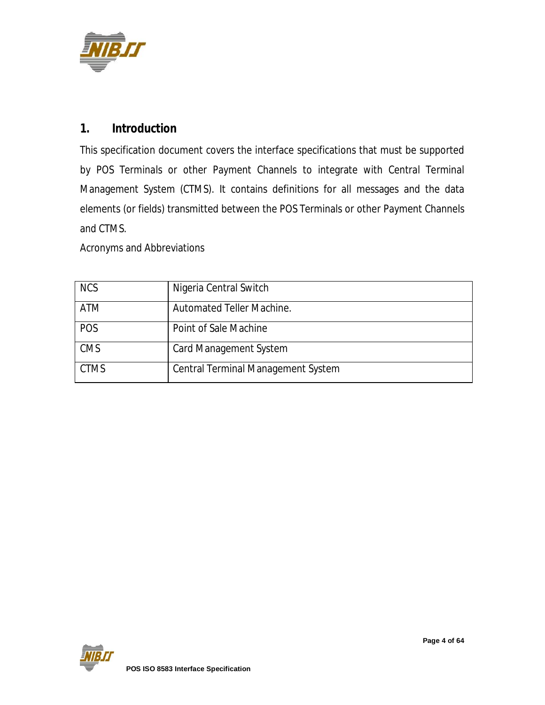

### **1. Introduction**

This specification document covers the interface specifications that must be supported by POS Terminals or other Payment Channels to integrate with Central Terminal Management System (CTMS). It contains definitions for all messages and the data elements (or fields) transmitted between the POS Terminals or other Payment Channels and CTMS.

Acronyms and Abbreviations

| <b>NCS</b>  | Nigeria Central Switch                    |
|-------------|-------------------------------------------|
| <b>ATM</b>  | Automated Teller Machine.                 |
| POS         | Point of Sale Machine                     |
| <b>CMS</b>  | <b>Card Management System</b>             |
| <b>CTMS</b> | <b>Central Terminal Management System</b> |

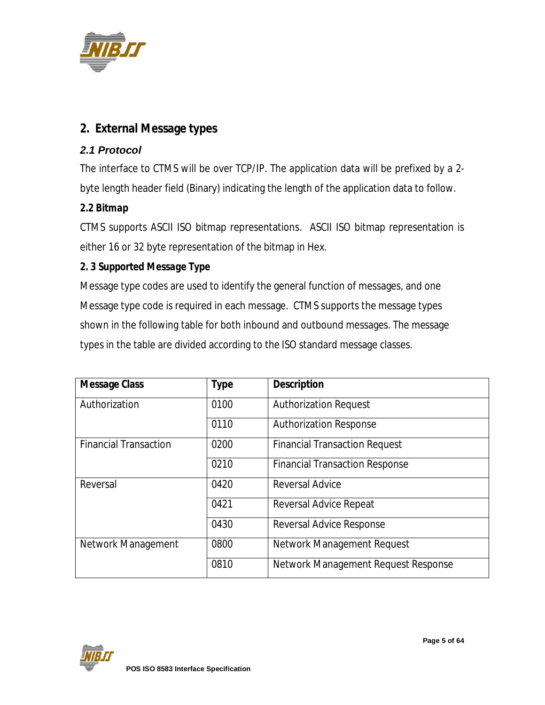

## **2. External Message types**

### *2.1 Protocol*

The interface to CTMS will be over TCP/IP. The application data will be prefixed by a 2 byte length header field (Binary) indicating the length of the application data to follow.

#### *2.2 Bitmap*

CTMS supports ASCII ISO bitmap representations. ASCII ISO bitmap representation is either 16 or 32 byte representation of the bitmap in Hex.

#### *2. 3 Supported Message Type*

Message type codes are used to identify the general function of messages, and one Message type code is required in each message. CTMS supports the message types shown in the following table for both inbound and outbound messages. The message types in the table are divided according to the ISO standard message classes.

| <b>Message Class</b>                 | <b>Type</b> | <b>Description</b>                    |
|--------------------------------------|-------------|---------------------------------------|
| Authorization                        | 0100        | <b>Authorization Request</b>          |
|                                      | 0110        | <b>Authorization Response</b>         |
| 0200<br><b>Financial Transaction</b> |             | <b>Financial Transaction Request</b>  |
|                                      | 0210        | <b>Financial Transaction Response</b> |
| Reversal                             | 0420        | <b>Reversal Advice</b>                |
|                                      | 0421        | <b>Reversal Advice Repeat</b>         |
|                                      | 0430        | <b>Reversal Advice Response</b>       |
| Network Management                   | 0800        | <b>Network Management Request</b>     |
|                                      | 0810        | Network Management Request Response   |

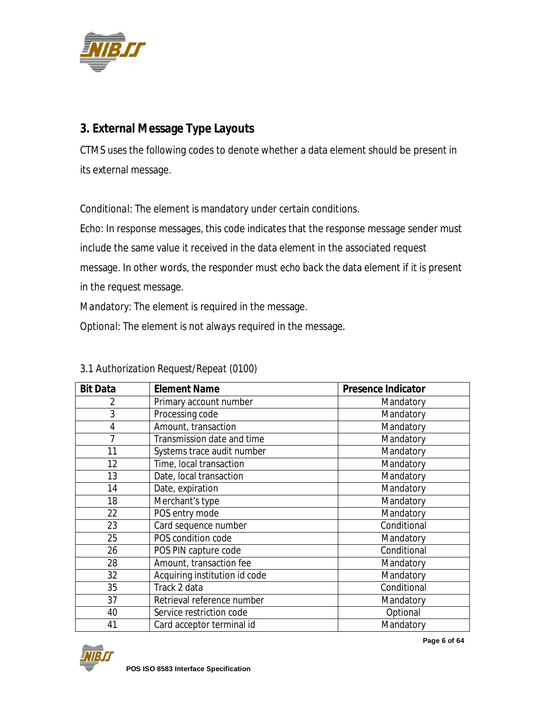

## **3. External Message Type Layouts**

CTMS uses the following codes to denote whether a data element should be present in its external message.

*Conditional*: The element is mandatory under certain conditions.

*Echo*: In response messages, this code indicates that the response message sender must include the same value it received in the data element in the associated request message. In other words, the responder must *echo back* the data element if it is present

in the request message.

*Mandatory*: The element is required in the message.

*Optional*: The element is not always required in the message.

| <b>Bit Data</b> | <b>Element Name</b>           | <b>Presence Indicator</b> |
|-----------------|-------------------------------|---------------------------|
| 2               | Primary account number        | Mandatory                 |
| 3               | Processing code               | Mandatory                 |
| $\overline{4}$  | Amount, transaction           | Mandatory                 |
| 7               | Transmission date and time    | Mandatory                 |
| 11              | Systems trace audit number    | Mandatory                 |
| 12              | Time, local transaction       | Mandatory                 |
| 13              | Date, local transaction       | Mandatory                 |
| 14              | Date, expiration              | Mandatory                 |
| 18              | Merchant's type               | Mandatory                 |
| 22              | POS entry mode                | Mandatory                 |
| 23              | Card sequence number          | Conditional               |
| 25              | POS condition code            | Mandatory                 |
| 26              | POS PIN capture code          | Conditional               |
| 28              | Amount, transaction fee       | Mandatory                 |
| 32              | Acquiring institution id code | Mandatory                 |
| 35              | Track 2 data                  | Conditional               |
| 37              | Retrieval reference number    | Mandatory                 |
| 40              | Service restriction code      | Optional                  |
| 41              | Card acceptor terminal id     | Mandatory                 |

### *3.1 Authorization Request/Repeat (0100)*

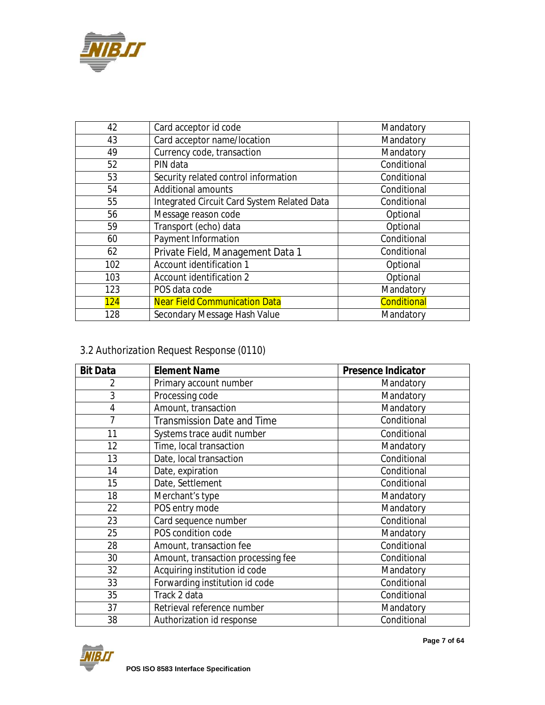

| 42  | Card acceptor id code                       | Mandatory   |
|-----|---------------------------------------------|-------------|
| 43  | Card acceptor name/location                 | Mandatory   |
| 49  | Currency code, transaction                  | Mandatory   |
| 52  | PIN data                                    | Conditional |
| 53  | Security related control information        | Conditional |
| 54  | <b>Additional amounts</b>                   | Conditional |
| 55  | Integrated Circuit Card System Related Data | Conditional |
| 56  | Message reason code                         | Optional    |
| 59  | Transport (echo) data                       | Optional    |
| 60  | Payment Information                         | Conditional |
| 62  | Private Field, Management Data 1            | Conditional |
| 102 | Account identification 1                    | Optional    |
| 103 | Account identification 2                    | Optional    |
| 123 | POS data code                               | Mandatory   |
| 124 | <b>Near Field Communication Data</b>        | Conditional |
| 128 | Secondary Message Hash Value                | Mandatory   |

## *3.2 Authorization Request Response (0110)*

| <b>Bit Data</b> | <b>Element Name</b>                | <b>Presence Indicator</b> |
|-----------------|------------------------------------|---------------------------|
| 2               | Primary account number             | Mandatory                 |
| 3               | Processing code                    | Mandatory                 |
| $\overline{4}$  | Amount, transaction                | Mandatory                 |
| 7               | <b>Transmission Date and Time</b>  | Conditional               |
| 11              | Systems trace audit number         | Conditional               |
| 12              | Time, local transaction            | Mandatory                 |
| 13              | Date, local transaction            | Conditional               |
| 14              | Date, expiration                   | Conditional               |
| 15              | Date, Settlement                   | Conditional               |
| 18              | Merchant's type                    | Mandatory                 |
| 22              | POS entry mode                     | Mandatory                 |
| 23              | Card sequence number               | Conditional               |
| 25              | POS condition code                 | Mandatory                 |
| 28              | Amount, transaction fee            | Conditional               |
| 30              | Amount, transaction processing fee | Conditional               |
| 32              | Acquiring institution id code      | Mandatory                 |
| 33              | Forwarding institution id code     | Conditional               |
| 35              | $\overline{\text{Track}}$ 2 data   | Conditional               |
| 37              | Retrieval reference number         | Mandatory                 |
| 38              | Authorization id response          | Conditional               |

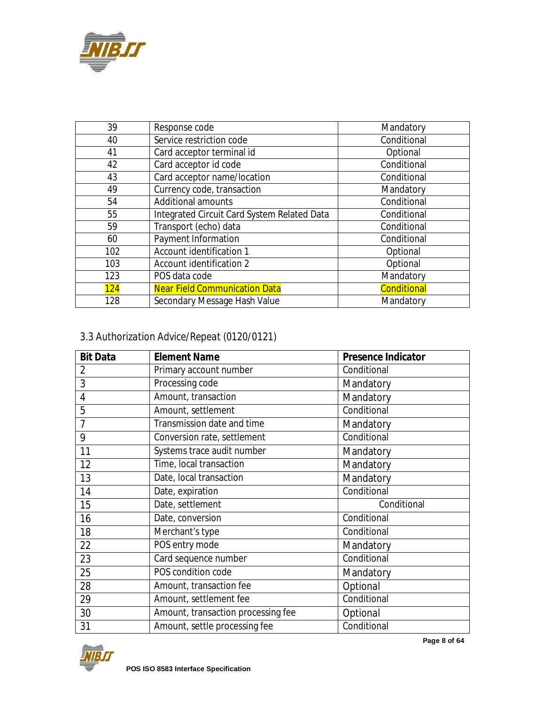

| 39  | Response code                               | Mandatory          |
|-----|---------------------------------------------|--------------------|
| 40  | Service restriction code                    | Conditional        |
| 41  | Card acceptor terminal id                   | Optional           |
| 42  | Card acceptor id code                       | Conditional        |
| 43  | Card acceptor name/location                 | Conditional        |
| 49  | Currency code, transaction                  | Mandatory          |
| 54  | <b>Additional amounts</b>                   | Conditional        |
| 55  | Integrated Circuit Card System Related Data | Conditional        |
| 59  | Transport (echo) data                       | Conditional        |
| 60  | Payment Information                         | Conditional        |
| 102 | Account identification 1                    | Optional           |
| 103 | Account identification 2                    | Optional           |
| 123 | POS data code                               | Mandatory          |
| 124 | <b>Near Field Communication Data</b>        | <b>Conditional</b> |
| 128 | Secondary Message Hash Value                | Mandatory          |

## *3.3 Authorization Advice/Repeat (0120/0121)*

| <b>Bit Data</b> | <b>Element Name</b>                | <b>Presence Indicator</b> |
|-----------------|------------------------------------|---------------------------|
| 2               | Primary account number             | Conditional               |
| 3               | Processing code                    | Mandatory                 |
| 4               | Amount, transaction                | Mandatory                 |
| 5               | Amount, settlement                 | Conditional               |
| 7               | Transmission date and time         | Mandatory                 |
| 9               | Conversion rate, settlement        | Conditional               |
| 11              | Systems trace audit number         | Mandatory                 |
| 12              | Time, local transaction            | Mandatory                 |
| 13              | Date, local transaction            | Mandatory                 |
| 14              | Date, expiration                   | Conditional               |
| 15              | Date, settlement                   | Conditional               |
| 16              | Date, conversion                   | Conditional               |
| 18              | Merchant's type                    | Conditional               |
| 22              | POS entry mode                     | Mandatory                 |
| 23              | Card sequence number               | Conditional               |
| 25              | POS condition code                 | Mandatory                 |
| 28              | Amount, transaction fee            | Optional                  |
| 29              | Amount, settlement fee             | Conditional               |
| 30              | Amount, transaction processing fee | Optional                  |
| 31              | Amount, settle processing fee      | Conditional               |



**Page 8 of 64**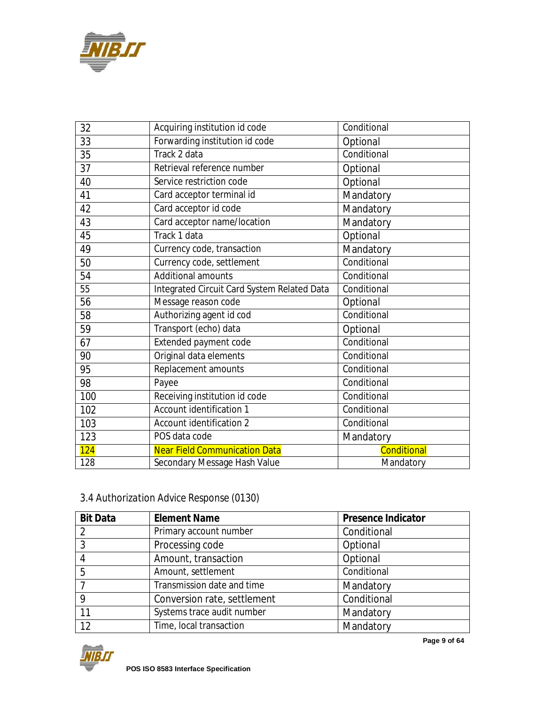

| 32  | Acquiring institution id code               | Conditional |
|-----|---------------------------------------------|-------------|
| 33  | Forwarding institution id code              | Optional    |
| 35  | Track 2 data                                | Conditional |
| 37  | Retrieval reference number                  | Optional    |
| 40  | Service restriction code                    | Optional    |
| 41  | Card acceptor terminal id                   | Mandatory   |
| 42  | Card acceptor id code                       | Mandatory   |
| 43  | Card acceptor name/location                 | Mandatory   |
| 45  | Track 1 data                                | Optional    |
| 49  | Currency code, transaction                  | Mandatory   |
| 50  | Currency code, settlement                   | Conditional |
| 54  | <b>Additional amounts</b>                   | Conditional |
| 55  | Integrated Circuit Card System Related Data | Conditional |
| 56  | Message reason code                         | Optional    |
| 58  | Authorizing agent id cod                    | Conditional |
| 59  | Transport (echo) data                       | Optional    |
| 67  | Extended payment code                       | Conditional |
| 90  | Original data elements                      | Conditional |
| 95  | Replacement amounts                         | Conditional |
| 98  | Payee                                       | Conditional |
| 100 | Receiving institution id code               | Conditional |
| 102 | Account identification 1                    | Conditional |
| 103 | Account identification 2                    | Conditional |
| 123 | POS data code                               | Mandatory   |
| 124 | <b>Near Field Communication Data</b>        | Conditional |
| 128 | Secondary Message Hash Value                | Mandatory   |

## *3.4 Authorization Advice Response (0130)*

| <b>Bit Data</b> | <b>Element Name</b>         | <b>Presence Indicator</b> |
|-----------------|-----------------------------|---------------------------|
| 2               | Primary account number      | Conditional               |
| 3               | Processing code             | Optional                  |
| 4               | Amount, transaction         | Optional                  |
| 5               | Amount, settlement          | Conditional               |
|                 | Transmission date and time  | Mandatory                 |
| 9               | Conversion rate, settlement | Conditional               |
| 11              | Systems trace audit number  | Mandatory                 |
| 12              | Time, local transaction     | Mandatory                 |



**Page 9 of 64**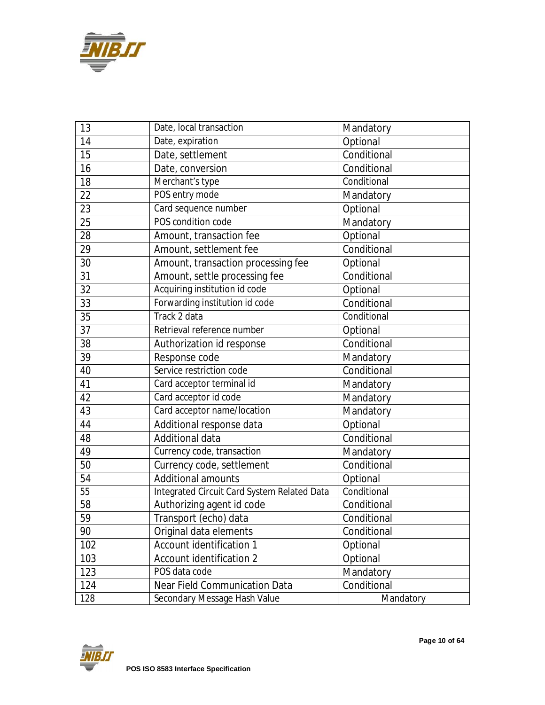

| 13              | Date, local transaction                     | Mandatory   |
|-----------------|---------------------------------------------|-------------|
| 14              | Date, expiration                            | Optional    |
| 15              | Date, settlement                            | Conditional |
| 16              | Date, conversion                            | Conditional |
| 18              | Merchant's type                             | Conditional |
| 22              | POS entry mode                              | Mandatory   |
| 23              | Card sequence number                        | Optional    |
| 25              | POS condition code                          | Mandatory   |
| 28              | Amount, transaction fee                     | Optional    |
| 29              | Amount, settlement fee                      | Conditional |
| 30              | Amount, transaction processing fee          | Optional    |
| 31              | Amount, settle processing fee               | Conditional |
| 32              | Acquiring institution id code               | Optional    |
| 33              | Forwarding institution id code              | Conditional |
| 35              | Track 2 data                                | Conditional |
| 37              | Retrieval reference number                  | Optional    |
| 38              | Authorization id response                   | Conditional |
| 39              | Response code                               | Mandatory   |
| 40              | Service restriction code                    | Conditional |
| 41              | Card acceptor terminal id                   | Mandatory   |
| 42              | Card acceptor id code                       | Mandatory   |
| 43              | Card acceptor name/location                 | Mandatory   |
| 44              | Additional response data                    | Optional    |
| 48              | Additional data                             | Conditional |
| 49              | Currency code, transaction                  | Mandatory   |
| 50              | Currency code, settlement                   | Conditional |
| 54              | <b>Additional amounts</b>                   | Optional    |
| $\overline{55}$ | Integrated Circuit Card System Related Data | Conditional |
| 58              | Authorizing agent id code                   | Conditional |
| 59              | Transport (echo) data                       | Conditional |
| 90              | Original data elements                      | Conditional |
| 102             | Account identification 1                    | Optional    |
| 103             | Account identification 2                    | Optional    |
| 123             | POS data code                               | Mandatory   |
| 124             | <b>Near Field Communication Data</b>        | Conditional |
| 128             | Secondary Message Hash Value                | Mandatory   |

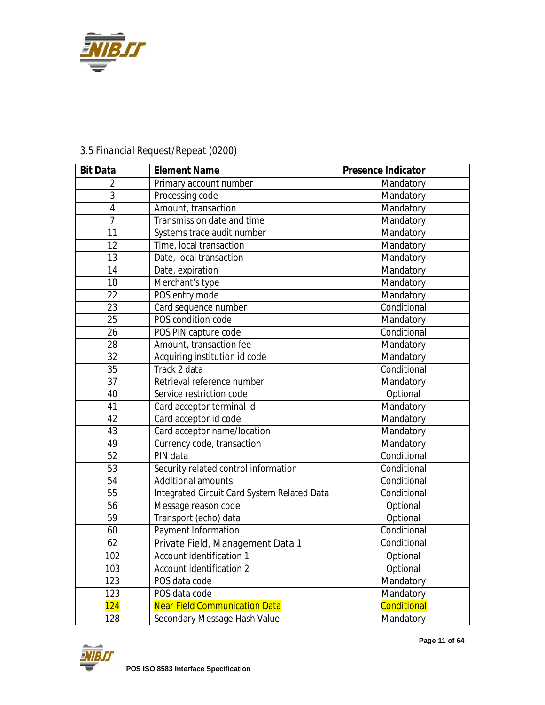

| <b>Bit Data</b> | <b>Element Name</b>                         | <b>Presence Indicator</b> |
|-----------------|---------------------------------------------|---------------------------|
| $\overline{2}$  | Primary account number                      | Mandatory                 |
| $\overline{3}$  | Processing code                             | Mandatory                 |
| $\overline{4}$  | Amount, transaction                         | Mandatory                 |
| $\overline{7}$  | Transmission date and time                  | Mandatory                 |
| 11              | Systems trace audit number                  | Mandatory                 |
| 12              | Time, local transaction                     | Mandatory                 |
| 13              | Date, local transaction                     | Mandatory                 |
| 14              | Date, expiration                            | Mandatory                 |
| 18              | Merchant's type                             | Mandatory                 |
| $\overline{22}$ | POS entry mode                              | Mandatory                 |
| $\overline{23}$ | Card sequence number                        | Conditional               |
| $\overline{25}$ | POS condition code                          | Mandatory                 |
| 26              | POS PIN capture code                        | Conditional               |
| 28              | Amount, transaction fee                     | Mandatory                 |
| $\overline{32}$ | Acquiring institution id code               | Mandatory                 |
| 35              | Track 2 data                                | Conditional               |
| 37              | Retrieval reference number                  | Mandatory                 |
| 40              | Service restriction code                    | Optional                  |
| 41              | Card acceptor terminal id                   | Mandatory                 |
| 42              | Card acceptor id code                       | Mandatory                 |
| 43              | Card acceptor name/location                 | Mandatory                 |
| 49              | Currency code, transaction                  | Mandatory                 |
| 52              | PIN data                                    | Conditional               |
| $\overline{53}$ | Security related control information        | Conditional               |
| $\overline{54}$ | <b>Additional amounts</b>                   | Conditional               |
| $\overline{55}$ | Integrated Circuit Card System Related Data | Conditional               |
| $\overline{56}$ | Message reason code                         | Optional                  |
| $\overline{59}$ | Transport (echo) data                       | Optional                  |
| 60              | Payment Information                         | Conditional               |
| 62              | Private Field, Management Data 1            | Conditional               |
| 102             | Account identification 1                    | Optional                  |
| 103             | Account identification 2                    | Optional                  |
| 123             | POS data code                               | Mandatory                 |
| 123             | POS data code                               | Mandatory                 |
| 124             | <b>Near Field Communication Data</b>        | Conditional               |
| 128             | Secondary Message Hash Value                | Mandatory                 |

## *3.5 Financial Request/Repeat (0200)*

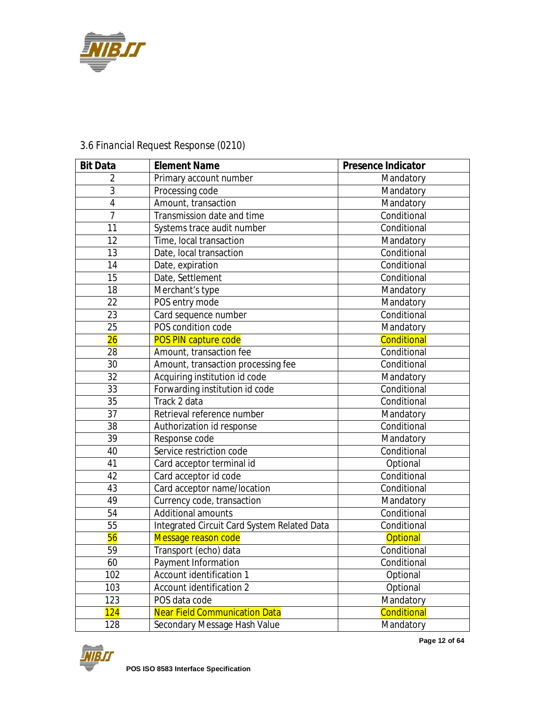

| <b>Bit Data</b> | <b>Element Name</b>                         | <b>Presence Indicator</b> |
|-----------------|---------------------------------------------|---------------------------|
| 2               | Primary account number                      | Mandatory                 |
| 3               | Processing code                             | Mandatory                 |
| $\overline{4}$  | Amount, transaction                         | Mandatory                 |
| $\overline{7}$  | Transmission date and time                  | Conditional               |
| 11              | Systems trace audit number                  | Conditional               |
| 12              | Time, local transaction                     | Mandatory                 |
| 13              | Date, local transaction                     | Conditional               |
| 14              | Date, expiration                            | Conditional               |
| 15              | Date, Settlement                            | Conditional               |
| 18              | Merchant's type                             | Mandatory                 |
| 22              | POS entry mode                              | Mandatory                 |
| 23              | Card sequence number                        | Conditional               |
| 25              | POS condition code                          | Mandatory                 |
| 26              | POS PIN capture code                        | Conditional               |
| 28              | Amount, transaction fee                     | Conditional               |
| 30              | Amount, transaction processing fee          | Conditional               |
| 32              | Acquiring institution id code               | Mandatory                 |
| 33              | Forwarding institution id code              | Conditional               |
| $\overline{35}$ | Track 2 data                                | Conditional               |
| 37              | Retrieval reference number                  | Mandatory                 |
| 38              | Authorization id response                   | Conditional               |
| $\overline{39}$ | Response code                               | Mandatory                 |
| 40              | Service restriction code                    | Conditional               |
| 41              | Card acceptor terminal id                   | Optional                  |
| 42              | Card acceptor id code                       | Conditional               |
| 43              | Card acceptor name/location                 | Conditional               |
| 49              | Currency code, transaction                  | Mandatory                 |
| 54              | <b>Additional amounts</b>                   | Conditional               |
| 55              | Integrated Circuit Card System Related Data | Conditional               |
| 56              | Message reason code                         | <b>Optional</b>           |
| 59              | Transport (echo) data                       | Conditional               |
| 60              | Payment Information                         | Conditional               |
| 102             | Account identification 1                    | Optional                  |
| 103             | Account identification 2                    | Optional                  |
| 123             | POS data code                               | Mandatory                 |
| 124             | <b>Near Field Communication Data</b>        | Conditional               |
| 128             | Secondary Message Hash Value                | Mandatory                 |

## *3.6 Financial Request Response (0210)*

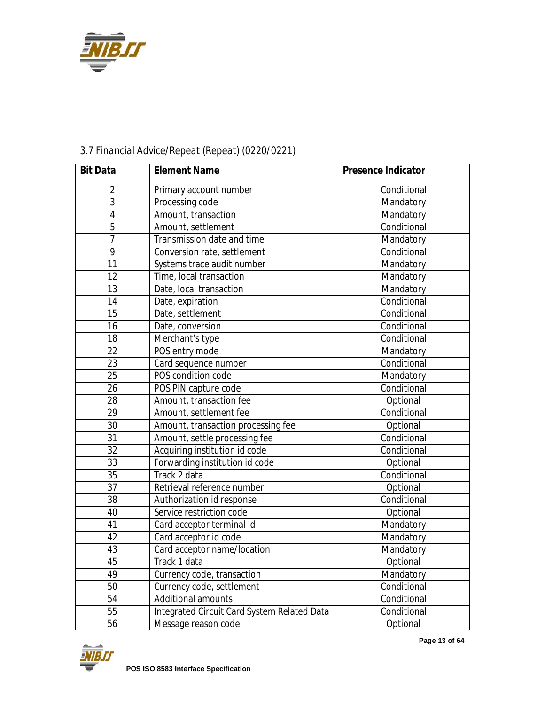

| <b>Bit Data</b> | <b>Element Name</b>                         | <b>Presence Indicator</b> |
|-----------------|---------------------------------------------|---------------------------|
| 2               | Primary account number                      | Conditional               |
| 3               | Processing code                             | Mandatory                 |
| $\overline{4}$  | Amount, transaction                         | Mandatory                 |
| 5               | Amount, settlement                          | Conditional               |
| $\overline{7}$  | Transmission date and time                  | Mandatory                 |
| 9               | Conversion rate, settlement                 | Conditional               |
| 11              | Systems trace audit number                  | Mandatory                 |
| 12              | Time, local transaction                     | Mandatory                 |
| 13              | Date, local transaction                     | Mandatory                 |
| 14              | Date, expiration                            | Conditional               |
| 15              | Date, settlement                            | Conditional               |
| 16              | Date, conversion                            | Conditional               |
| 18              | Merchant's type                             | Conditional               |
| 22              | POS entry mode                              | Mandatory                 |
| 23              | Card sequence number                        | Conditional               |
| 25              | POS condition code                          | Mandatory                 |
| 26              | POS PIN capture code                        | Conditional               |
| 28              | Amount, transaction fee                     | Optional                  |
| 29              | Amount, settlement fee                      | Conditional               |
| 30              | Amount, transaction processing fee          | Optional                  |
| 31              | Amount, settle processing fee               | Conditional               |
| 32              | Acquiring institution id code               | Conditional               |
| 33              | Forwarding institution id code              | Optional                  |
| 35              | Track 2 data                                | Conditional               |
| 37              | Retrieval reference number                  | Optional                  |
| 38              | Authorization id response                   | Conditional               |
| 40              | Service restriction code                    | Optional                  |
| 41              | Card acceptor terminal id                   | Mandatory                 |
| 42              | Card acceptor id code                       | Mandatory                 |
| 43              | Card acceptor name/location                 | Mandatory                 |
| 45              | Track 1 data                                | Optional                  |
| 49              | Currency code, transaction                  | Mandatory                 |
| 50              | Currency code, settlement                   | Conditional               |
| 54              | <b>Additional amounts</b>                   | Conditional               |
| 55              | Integrated Circuit Card System Related Data | Conditional               |
| 56              | Message reason code                         | Optional                  |

## *3.7 Financial Advice/Repeat (Repeat) (0220/0221)*

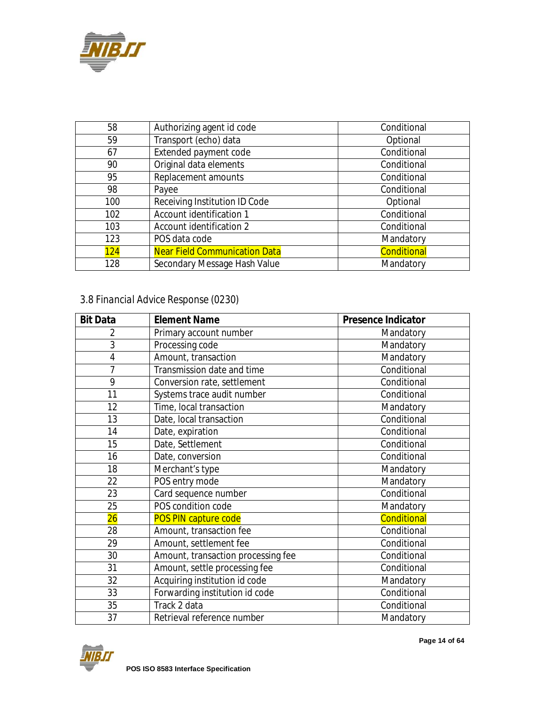

| 58  | Authorizing agent id code            | Conditional |
|-----|--------------------------------------|-------------|
| 59  | Transport (echo) data                | Optional    |
| 67  | Extended payment code                | Conditional |
| 90  | Original data elements               | Conditional |
| 95  | Replacement amounts                  | Conditional |
| 98  | Payee                                | Conditional |
| 100 | Receiving Institution ID Code        | Optional    |
| 102 | Account identification 1             | Conditional |
| 103 | Account identification 2             | Conditional |
| 123 | POS data code                        | Mandatory   |
| 124 | <b>Near Field Communication Data</b> | Conditional |
| 128 | Secondary Message Hash Value         | Mandatory   |

## *3.8 Financial Advice Response (0230)*

| <b>Bit Data</b> | <b>Element Name</b>                | <b>Presence Indicator</b> |
|-----------------|------------------------------------|---------------------------|
| 2               | Primary account number             | Mandatory                 |
| $\overline{3}$  | Processing code                    | Mandatory                 |
| $\overline{4}$  | Amount, transaction                | Mandatory                 |
| $\overline{7}$  | Transmission date and time         | Conditional               |
| $\overline{9}$  | Conversion rate, settlement        | Conditional               |
| 11              | Systems trace audit number         | Conditional               |
| 12              | Time, local transaction            | Mandatory                 |
| 13              | Date, local transaction            | Conditional               |
| 14              | Date, expiration                   | Conditional               |
| 15              | Date, Settlement                   | Conditional               |
| 16              | Date, conversion                   | Conditional               |
| 18              | Merchant's type                    | Mandatory                 |
| 22              | POS entry mode                     | Mandatory                 |
| 23              | Card sequence number               | Conditional               |
| 25              | POS condition code                 | Mandatory                 |
| 26              | <b>POS PIN capture code</b>        | Conditional               |
| 28              | Amount, transaction fee            | Conditional               |
| 29              | Amount, settlement fee             | Conditional               |
| 30              | Amount, transaction processing fee | Conditional               |
| 31              | Amount, settle processing fee      | Conditional               |
| 32              | Acquiring institution id code      | Mandatory                 |
| 33              | Forwarding institution id code     | Conditional               |
| 35              | Track 2 data                       | Conditional               |
| 37              | Retrieval reference number         | Mandatory                 |



**Page 14 of 64**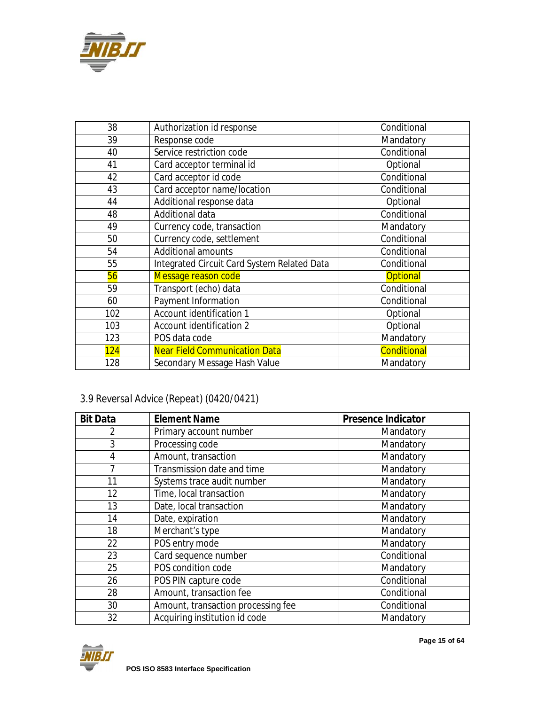

| 38  | Authorization id response                   | Conditional     |
|-----|---------------------------------------------|-----------------|
| 39  | Response code                               | Mandatory       |
| 40  | Service restriction code                    | Conditional     |
| 41  | Card acceptor terminal id                   | Optional        |
| 42  | Card acceptor id code                       | Conditional     |
| 43  | Card acceptor name/location                 | Conditional     |
| 44  | Additional response data                    | Optional        |
| 48  | Additional data                             | Conditional     |
| 49  | Currency code, transaction                  | Mandatory       |
| 50  | Currency code, settlement                   | Conditional     |
| 54  | <b>Additional amounts</b>                   | Conditional     |
| 55  | Integrated Circuit Card System Related Data | Conditional     |
| 56  | Message reason code                         | <b>Optional</b> |
| 59  | Transport (echo) data                       | Conditional     |
| 60  | Payment Information                         | Conditional     |
| 102 | Account identification 1                    | Optional        |
| 103 | Account identification 2                    | Optional        |
| 123 | POS data code                               | Mandatory       |
| 124 | <b>Near Field Communication Data</b>        | Conditional     |
| 128 | Secondary Message Hash Value                | Mandatory       |

## *3.9 Reversal Advice (Repeat) (0420/0421)*

| <b>Bit Data</b> | <b>Element Name</b>                | <b>Presence Indicator</b> |
|-----------------|------------------------------------|---------------------------|
| 2               | Primary account number             | Mandatory                 |
| 3               | Processing code                    | Mandatory                 |
| 4               | Amount, transaction                | Mandatory                 |
| 7               | Transmission date and time         | Mandatory                 |
| 11              | Systems trace audit number         | Mandatory                 |
| 12              | Time, local transaction            | Mandatory                 |
| 13              | Date, local transaction            | Mandatory                 |
| 14              | Date, expiration                   | Mandatory                 |
| 18              | Merchant's type                    | Mandatory                 |
| 22              | POS entry mode                     | Mandatory                 |
| 23              | Card sequence number               | Conditional               |
| 25              | POS condition code                 | Mandatory                 |
| 26              | POS PIN capture code               | Conditional               |
| 28              | Amount, transaction fee            | Conditional               |
| 30              | Amount, transaction processing fee | Conditional               |
| 32              | Acquiring institution id code      | Mandatory                 |

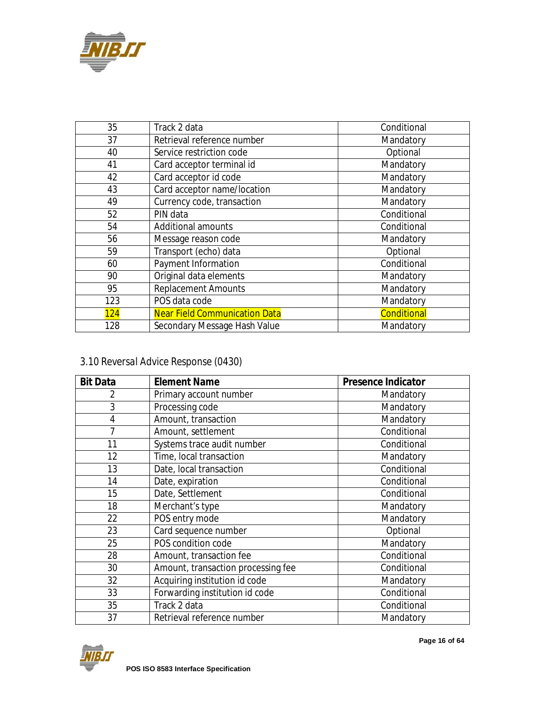

| 35  | Track 2 data                         | Conditional |
|-----|--------------------------------------|-------------|
| 37  | Retrieval reference number           | Mandatory   |
| 40  | Service restriction code             | Optional    |
| 41  | Card acceptor terminal id            | Mandatory   |
| 42  | Card acceptor id code                | Mandatory   |
| 43  | Card acceptor name/location          | Mandatory   |
| 49  | Currency code, transaction           | Mandatory   |
| 52  | PIN data                             | Conditional |
| 54  | <b>Additional amounts</b>            | Conditional |
| 56  | Message reason code                  | Mandatory   |
| 59  | Transport (echo) data                | Optional    |
| 60  | Payment Information                  | Conditional |
| 90  | Original data elements               | Mandatory   |
| 95  | <b>Replacement Amounts</b>           | Mandatory   |
| 123 | POS data code                        | Mandatory   |
| 124 | <b>Near Field Communication Data</b> | Conditional |
| 128 | Secondary Message Hash Value         | Mandatory   |

## *3.10 Reversal Advice Response (0430)*

| <b>Bit Data</b> | <b>Element Name</b>                | <b>Presence Indicator</b> |
|-----------------|------------------------------------|---------------------------|
| 2               | Primary account number             | Mandatory                 |
| 3               | Processing code                    | Mandatory                 |
| $\overline{4}$  | Amount, transaction                | Mandatory                 |
| 7               | Amount, settlement                 | Conditional               |
| 11              | Systems trace audit number         | Conditional               |
| 12              | Time, local transaction            | Mandatory                 |
| 13              | Date, local transaction            | Conditional               |
| 14              | Date, expiration                   | Conditional               |
| 15              | Date, Settlement                   | Conditional               |
| 18              | Merchant's type                    | Mandatory                 |
| 22              | POS entry mode                     | Mandatory                 |
| 23              | Card sequence number               | Optional                  |
| 25              | POS condition code                 | Mandatory                 |
| 28              | Amount, transaction fee            | Conditional               |
| 30              | Amount, transaction processing fee | Conditional               |
| 32              | Acquiring institution id code      | Mandatory                 |
| 33              | Forwarding institution id code     | Conditional               |
| 35              | Track 2 data                       | Conditional               |
| 37              | Retrieval reference number         | Mandatory                 |

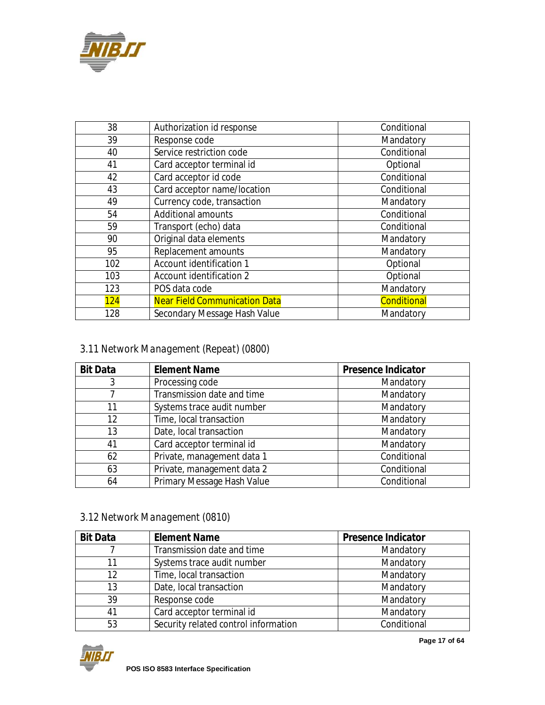

| 38  | Authorization id response            | Conditional        |
|-----|--------------------------------------|--------------------|
| 39  | Response code                        | Mandatory          |
| 40  | Service restriction code             | Conditional        |
| 41  | Card acceptor terminal id            | Optional           |
| 42  | Card acceptor id code                | Conditional        |
| 43  | Card acceptor name/location          | Conditional        |
| 49  | Currency code, transaction           | Mandatory          |
| 54  | <b>Additional amounts</b>            | Conditional        |
| 59  | Transport (echo) data                | Conditional        |
| 90  | Original data elements               | Mandatory          |
| 95  | Replacement amounts                  | Mandatory          |
| 102 | Account identification 1             | Optional           |
| 103 | Account identification 2             | Optional           |
| 123 | POS data code                        | Mandatory          |
| 124 | <b>Near Field Communication Data</b> | <b>Conditional</b> |
| 128 | Secondary Message Hash Value         | Mandatory          |

## *3.11 Network Management (Repeat) (0800)*

| <b>Bit Data</b> | <b>Element Name</b>        | <b>Presence Indicator</b> |
|-----------------|----------------------------|---------------------------|
| 3               | Processing code            | Mandatory                 |
|                 | Transmission date and time | Mandatory                 |
| 11              | Systems trace audit number | Mandatory                 |
| 12              | Time, local transaction    | Mandatory                 |
| 13              | Date, local transaction    | Mandatory                 |
| 41              | Card acceptor terminal id  | Mandatory                 |
| 62              | Private, management data 1 | Conditional               |
| 63              | Private, management data 2 | Conditional               |
| 64              | Primary Message Hash Value | Conditional               |

## *3.12 Network Management (0810)*

| <b>Bit Data</b> | <b>Element Name</b>                  | <b>Presence Indicator</b> |
|-----------------|--------------------------------------|---------------------------|
|                 | Transmission date and time           | Mandatory                 |
| 11              | Systems trace audit number           | Mandatory                 |
| 12              | Time, local transaction              | Mandatory                 |
| 13              | Date, local transaction              | Mandatory                 |
| 39              | Response code                        | Mandatory                 |
| 41              | Card acceptor terminal id            | Mandatory                 |
| 53              | Security related control information | Conditional               |

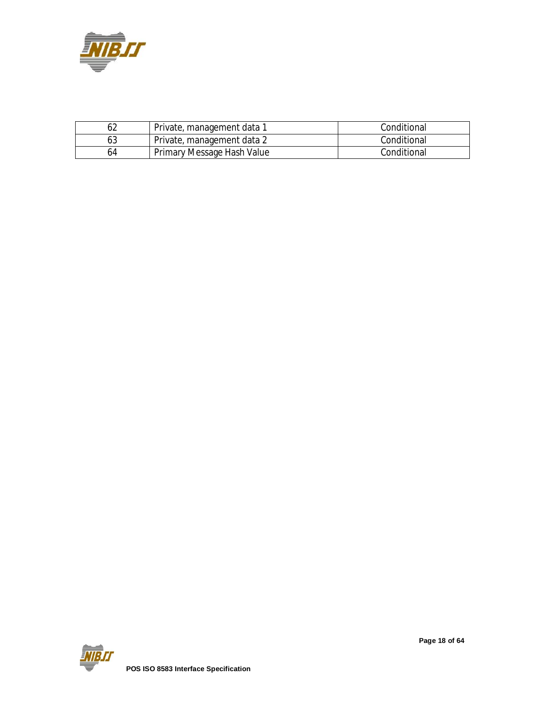

|    | Private, management data 1 | Conditional |
|----|----------------------------|-------------|
|    | Private, management data 2 | Conditional |
| 64 | Primary Message Hash Value | Conditional |

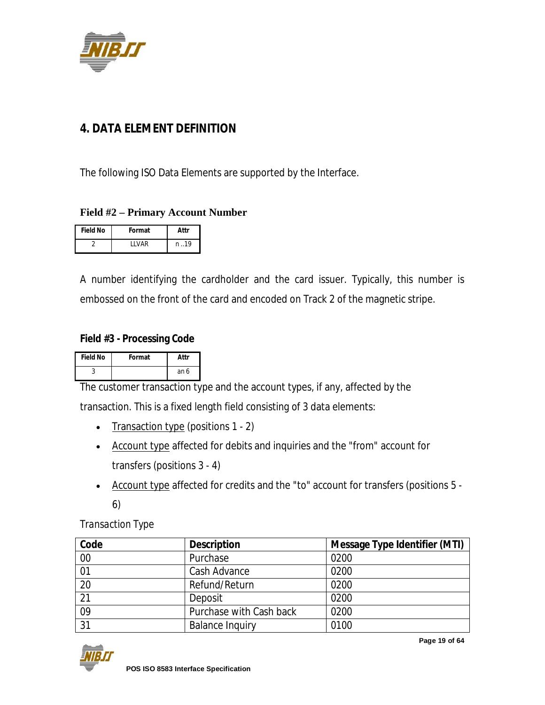

## **4. DATA ELEMENT DEFINITION**

The following ISO Data Elements are supported by the Interface.

#### **Field #2 – Primary Account Number**

| <b>Field No</b> | Format       | Attr |
|-----------------|--------------|------|
|                 | <b>IIVAR</b> | n 19 |

A number identifying the cardholder and the card issuer. Typically, this number is embossed on the front of the card and encoded on Track 2 of the magnetic stripe.

#### **Field #3 - Processing Code**

| <b>Field No</b> | Format | Attr |
|-----------------|--------|------|
|                 |        | an 6 |

The customer transaction type and the account types, if any, affected by the

transaction. This is a fixed length field consisting of 3 data elements:

- Transaction type (positions 1 2)
- Account type affected for debits and inquiries and the "from" account for transfers (positions 3 - 4)
- Account type affected for credits and the "to" account for transfers (positions 5 6)

*Transaction Type*

| Code            | <b>Description</b>      | <b>Message Type Identifier (MTI)</b> |
|-----------------|-------------------------|--------------------------------------|
| 00              | Purchase                | 0200                                 |
| 01              | Cash Advance            | 0200                                 |
| 20              | Refund/Return           | 0200                                 |
| $\overline{21}$ | Deposit                 | 0200                                 |
| 09              | Purchase with Cash back | 0200                                 |
| 31              | <b>Balance Inquiry</b>  | 0100                                 |



**Page 19 of 64**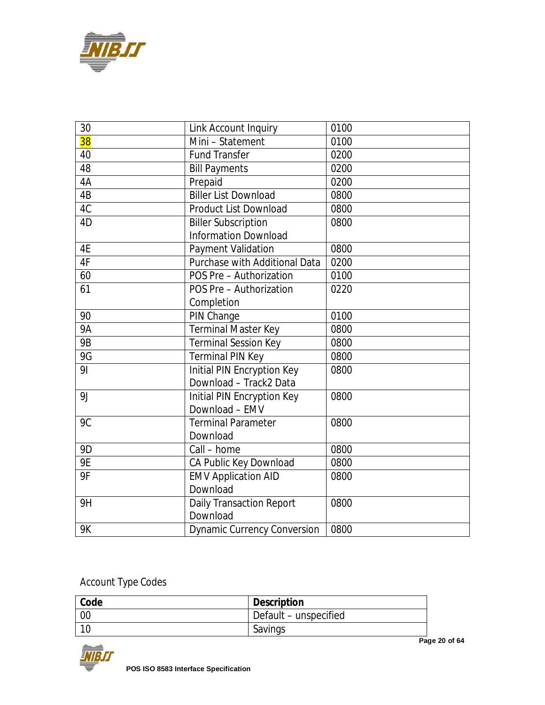

| 30             | Link Account Inquiry                 | 0100 |
|----------------|--------------------------------------|------|
| 38             | Mini - Statement                     | 0100 |
| 40             | <b>Fund Transfer</b>                 | 0200 |
| 48             | <b>Bill Payments</b>                 | 0200 |
| 4A             | Prepaid                              | 0200 |
| 4B             | <b>Biller List Download</b>          | 0800 |
| 4C             | <b>Product List Download</b>         | 0800 |
| 4D             | <b>Biller Subscription</b>           | 0800 |
|                | <b>Information Download</b>          |      |
| 4E             | <b>Payment Validation</b>            | 0800 |
| 4F             | <b>Purchase with Additional Data</b> | 0200 |
| 60             | POS Pre - Authorization              | 0100 |
| 61             | POS Pre - Authorization              | 0220 |
|                | Completion                           |      |
| 90             | PIN Change                           | 0100 |
| <b>9A</b>      | <b>Terminal Master Key</b>           | 0800 |
| <b>9B</b>      | <b>Terminal Session Key</b>          | 0800 |
| 9G             | <b>Terminal PIN Key</b>              | 0800 |
| 91             | Initial PIN Encryption Key           | 0800 |
|                | Download - Track2 Data               |      |
| 9 <sub>J</sub> | Initial PIN Encryption Key           | 0800 |
|                | Download - EMV                       |      |
| 9C             | <b>Terminal Parameter</b>            | 0800 |
|                | Download                             |      |
| 9 <sub>D</sub> | Call - home                          | 0800 |
| <b>9E</b>      | CA Public Key Download               | 0800 |
| 9F             | <b>EMV Application AID</b>           | 0800 |
|                | Download                             |      |
| 9H             | <b>Daily Transaction Report</b>      | 0800 |
|                | Download                             |      |
| <b>9K</b>      | <b>Dynamic Currency Conversion</b>   | 0800 |

## *Account Type Codes*

| Code            | <b>Description</b>    |
|-----------------|-----------------------|
| $\overline{00}$ | Default – unspecified |
|                 | Savings               |



**Page 20 of 64**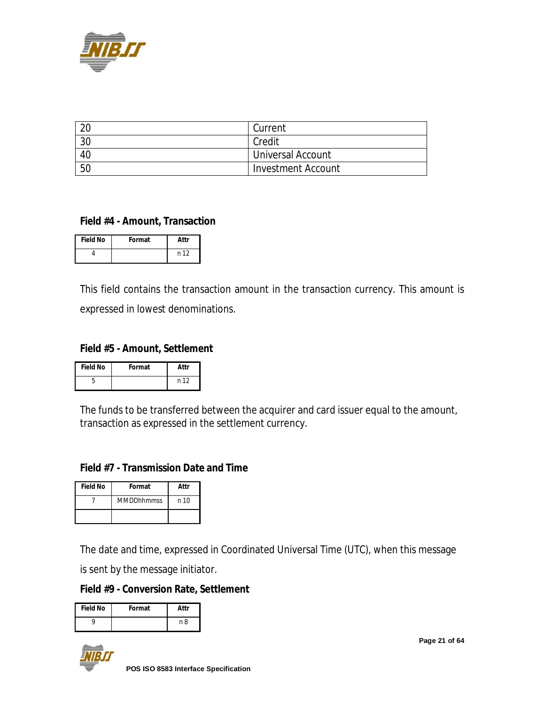

| $\Omega$ | Current                  |
|----------|--------------------------|
| 30       | Credit                   |
| 40       | <b>Universal Account</b> |
| 50       | Investment Account       |

#### **Field #4 - Amount, Transaction**

| <b>Field No</b> | Format | Attr |
|-----------------|--------|------|
|                 |        | n 12 |

This field contains the transaction amount in the transaction currency. This amount is expressed in lowest denominations.

#### **Field #5 - Amount, Settlement**

| <b>Field No</b> | Format | Attr |
|-----------------|--------|------|
|                 |        | n 12 |

The funds to be transferred between the acquirer and card issuer equal to the amount, transaction as expressed in the settlement currency.

#### **Field #7 - Transmission Date and Time**

| <b>Field No</b> | Format            | Attr |
|-----------------|-------------------|------|
|                 | <b>MMDDhhmmss</b> | n 10 |
|                 |                   |      |

The date and time, expressed in Coordinated Universal Time (UTC), when this message

is sent by the message initiator.

**Field #9 - Conversion Rate, Settlement**

| <b>Field No</b> | Format | Attr |
|-----------------|--------|------|
|                 |        | n 8  |



**Page 21 of 64**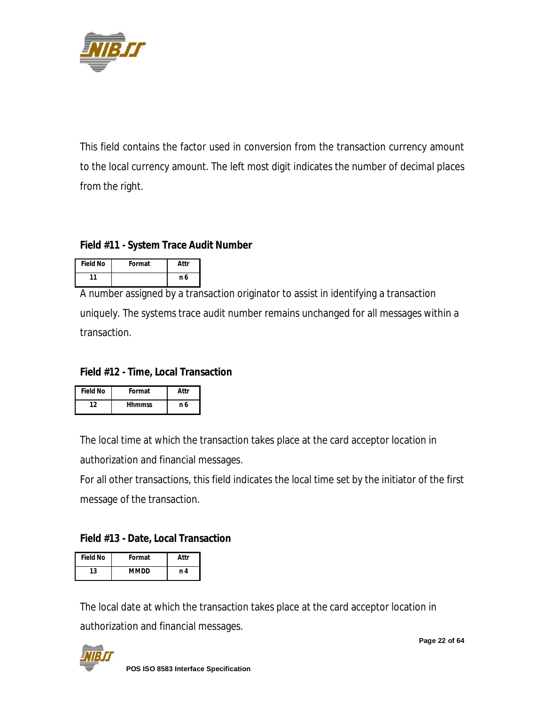

This field contains the factor used in conversion from the transaction currency amount to the local currency amount. The left most digit indicates the number of decimal places from the right.

#### **Field #11 - System Trace Audit Number**

| <b>Field No</b> | Format | Attr |
|-----------------|--------|------|
| 11              |        | n 6  |

A number assigned by a transaction originator to assist in identifying a transaction uniquely. The systems trace audit number remains unchanged for all messages within a transaction.

#### **Field #12 - Time, Local Transaction**

| <b>Field No</b> | Format        | Attr |
|-----------------|---------------|------|
| 12              | <b>Hhmmss</b> | n 6  |

The local time at which the transaction takes place at the card acceptor location in authorization and financial messages.

For all other transactions, this field indicates the local time set by the initiator of the first message of the transaction.

#### **Field #13 - Date, Local Transaction**

| <b>Field No</b> | Format      | Attr |
|-----------------|-------------|------|
| 13              | <b>MMDD</b> | n 4  |

The local date at which the transaction takes place at the card acceptor location in authorization and financial messages.



**Page 22 of 64**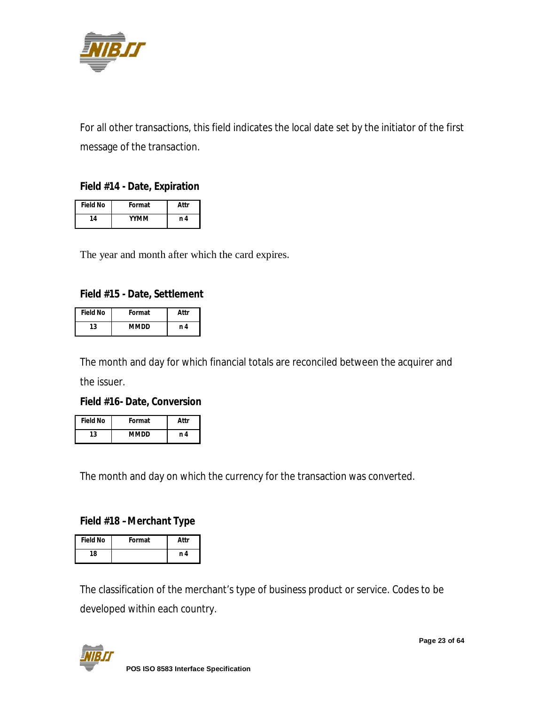

For all other transactions, this field indicates the local date set by the initiator of the first message of the transaction.

#### **Field #14 - Date, Expiration**

| <b>Field No</b> | Format      | Attr |
|-----------------|-------------|------|
| 14              | <b>YYMM</b> | n 4  |

The year and month after which the card expires.

#### **Field #15 - Date, Settlement**

| <b>Field No</b> | Format | Attr |
|-----------------|--------|------|
| 13              | MMDD   | n 4  |

The month and day for which financial totals are reconciled between the acquirer and

the issuer.

#### **Field #16- Date, Conversion**

| <b>Field No</b> | Format      | Attr |
|-----------------|-------------|------|
| 13              | <b>MMDD</b> | n 4  |

The month and day on which the currency for the transaction was converted.

#### **Field #18 –Merchant Type**

| <b>Field No</b> | Format | Attr |
|-----------------|--------|------|
| 18              |        | n 4  |

The classification of the merchant's type of business product or service. Codes to be developed within each country.

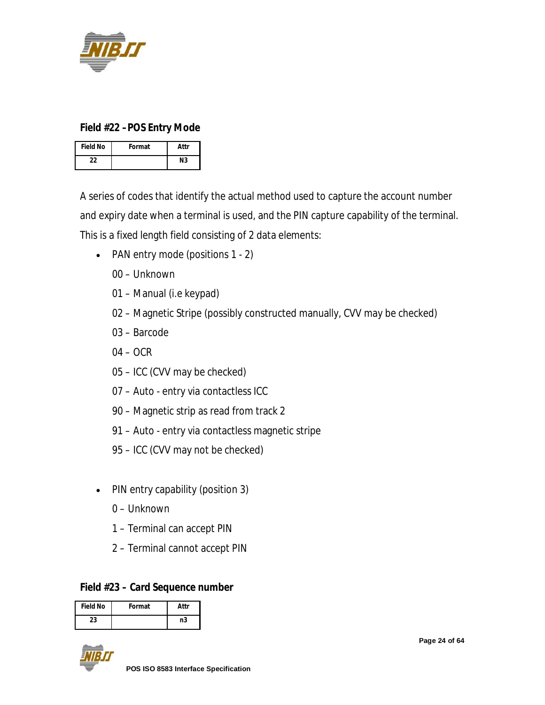

#### **Field #22 –POS Entry Mode**

| <b>Field No</b> | Format | Attr |
|-----------------|--------|------|
| 22              |        | Ν3   |

A series of codes that identify the actual method used to capture the account number and expiry date when a terminal is used, and the PIN capture capability of the terminal. This is a fixed length field consisting of 2 data elements:

- PAN entry mode (positions 1 2)
	- 00 Unknown
	- 01 Manual (i.e keypad)
	- 02 Magnetic Stripe (possibly constructed manually, CVV may be checked)
	- 03 Barcode
	- 04 OCR
	- 05 ICC (CVV may be checked)
	- 07 Auto entry via contactless ICC
	- 90 Magnetic strip as read from track 2
	- 91 Auto entry via contactless magnetic stripe
	- 95 ICC (CVV may not be checked)
- PIN entry capability (position 3)
	- 0 Unknown
	- 1 Terminal can accept PIN
	- 2 Terminal cannot accept PIN

#### **Field #23 – Card Sequence number**

| <b>Field No</b> | Format | Attr |
|-----------------|--------|------|
| 23              |        | n3   |



**Page 24 of 64**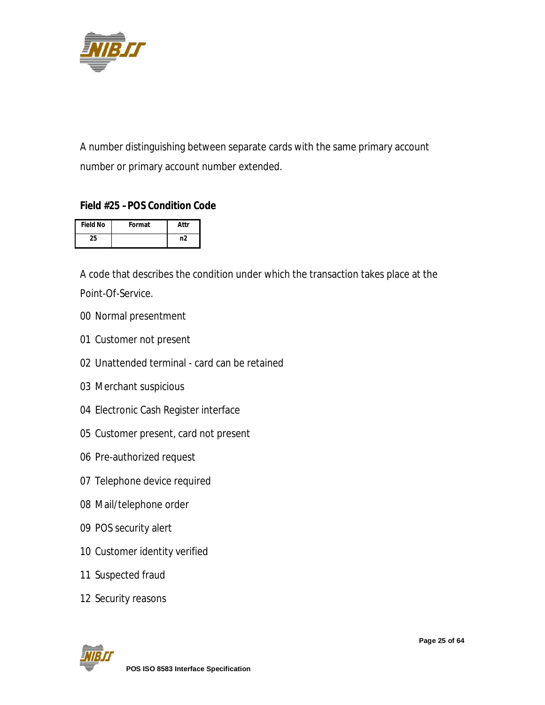

A number distinguishing between separate cards with the same primary account number or primary account number extended.

#### **Field #25 –POS Condition Code**

| <b>Field No</b> | Format | Attr |
|-----------------|--------|------|
| 25              |        | n2   |

A code that describes the condition under which the transaction takes place at the Point-Of-Service.

- Normal presentment
- Customer not present
- Unattended terminal card can be retained
- Merchant suspicious
- Electronic Cash Register interface
- Customer present, card not present
- Pre-authorized request
- Telephone device required
- Mail/telephone order
- POS security alert
- Customer identity verified
- Suspected fraud
- Security reasons

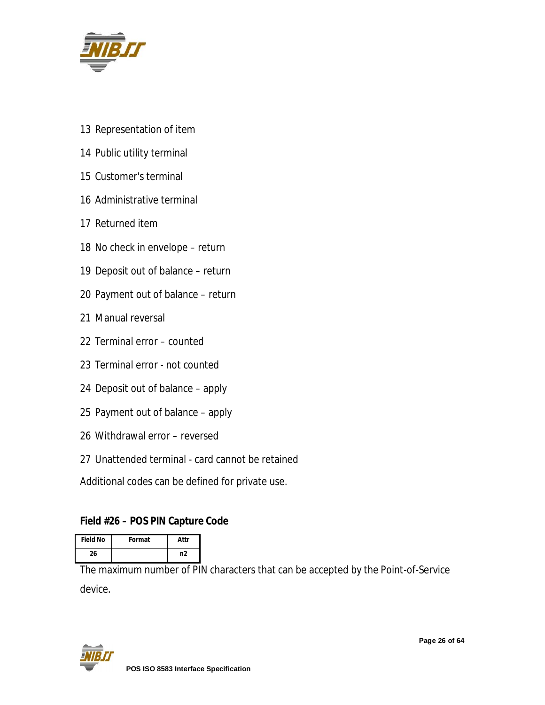

- Representation of item
- Public utility terminal
- Customer's terminal
- Administrative terminal
- Returned item
- No check in envelope return
- Deposit out of balance return
- Payment out of balance return
- Manual reversal
- Terminal error counted
- Terminal error not counted
- Deposit out of balance apply
- Payment out of balance apply
- Withdrawal error reversed
- Unattended terminal card cannot be retained

Additional codes can be defined for private use.

#### **Field #26 – POS PIN Capture Code**

| <b>Field No</b> | Format | Attr |
|-----------------|--------|------|
| 26              |        | n2   |

The maximum number of PIN characters that can be accepted by the Point-of-Service device.

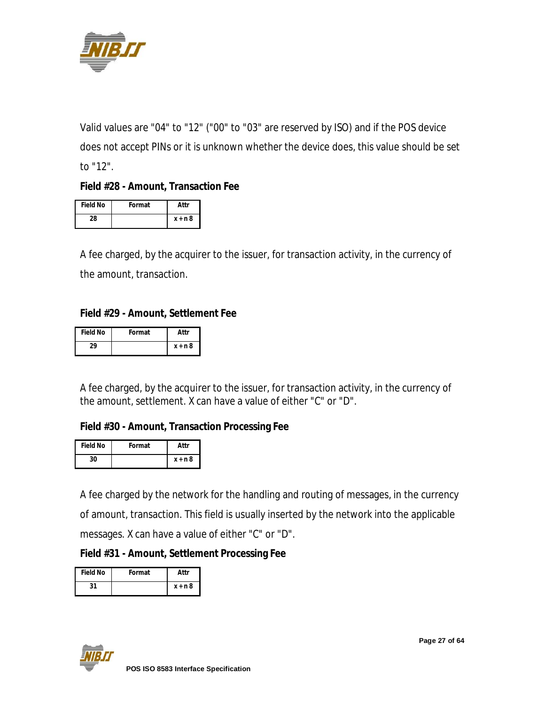

Valid values are "04" to "12" ("00" to "03" are reserved by ISO) and if the POS device does not accept PINs or it is unknown whether the device does, this value should be set to "12".

#### **Field #28 - Amount, Transaction Fee**

| <b>Field No</b> | Format | Attr      |
|-----------------|--------|-----------|
| 28              |        | $x + n$ 8 |

A fee charged, by the acquirer to the issuer, for transaction activity, in the currency of the amount, transaction.

#### **Field #29 - Amount, Settlement Fee**

| <b>Field No</b> | Format | Attr      |
|-----------------|--------|-----------|
| າ໑              |        | $x + n$ 8 |

A fee charged, by the acquirer to the issuer, for transaction activity, in the currency of the amount, settlement. X can have a value of either "C" or "D".

#### **Field #30 - Amount, Transaction Processing Fee**

| <b>Field No</b> | Format | Attr      |
|-----------------|--------|-----------|
| 30              |        | $x + n$ 8 |

A fee charged by the network for the handling and routing of messages, in the currency of amount, transaction. This field is usually inserted by the network into the applicable messages. X can have a value of either "C" or "D".

#### **Field #31 - Amount, Settlement Processing Fee**

| Field No | Format | Attr      |
|----------|--------|-----------|
| 31       |        | $x + n$ 8 |

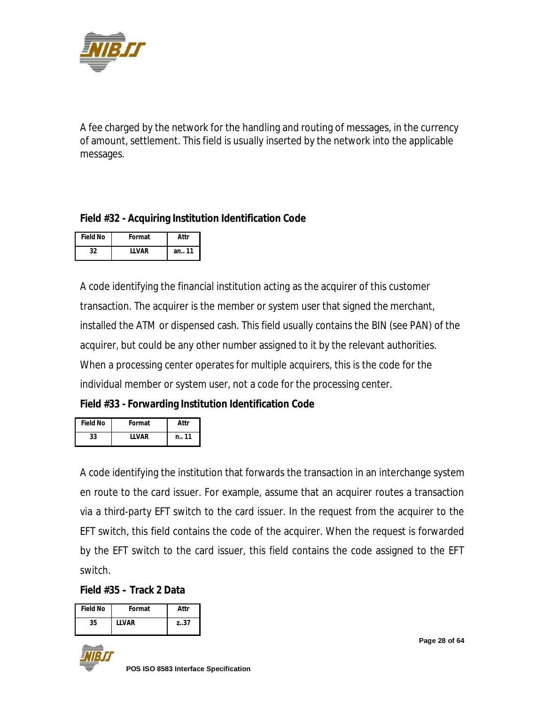

A fee charged by the network for the handling and routing of messages, in the currency of amount, settlement. This field is usually inserted by the network into the applicable messages.

#### **Field #32 - Acquiring Institution Identification Code**

| <b>Field No</b> | Format  | Attr   |
|-----------------|---------|--------|
| 32              | I I VAR | an. 11 |

A code identifying the financial institution acting as the acquirer of this customer transaction. The acquirer is the member or system user that signed the merchant, installed the ATM or dispensed cash. This field usually contains the BIN (see PAN) of the acquirer, but could be any other number assigned to it by the relevant authorities. When a processing center operates for multiple acquirers, this is the code for the individual member or system user, not a code for the processing center.

**Field #33 - Forwarding Institution Identification Code**

| <b>Field No</b> | Format  | Attr |
|-----------------|---------|------|
| 33              | I I VAR | n 11 |

A code identifying the institution that forwards the transaction in an interchange system en route to the card issuer. For example, assume that an acquirer routes a transaction via a third-party EFT switch to the card issuer. In the request from the acquirer to the EFT switch, this field contains the code of the acquirer. When the request is forwarded by the EFT switch to the card issuer, this field contains the code assigned to the EFT switch.

**Field #35 – Track 2 Data**

| <b>Field No</b> | Format  | Attr |
|-----------------|---------|------|
| 35              | I I VAR | 7.37 |



**Page 28 of 64**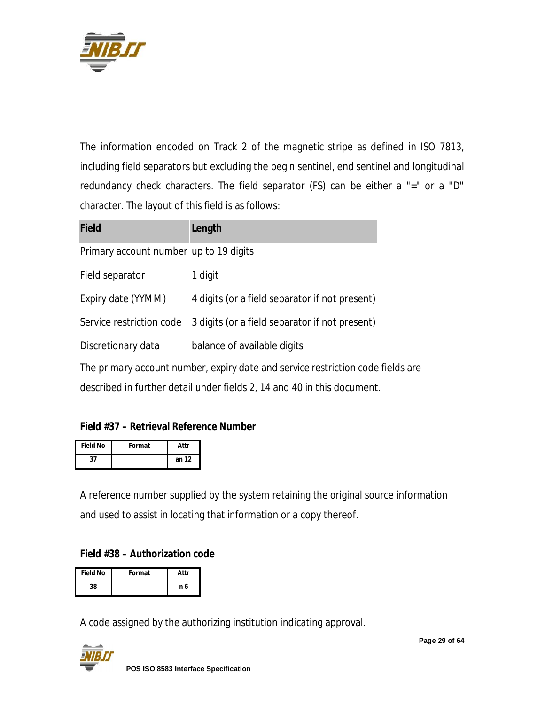

The information encoded on Track 2 of the magnetic stripe as defined in ISO 7813, including field separators but excluding the begin sentinel, end sentinel and longitudinal redundancy check characters. The field separator (FS) can be either a "=" or a "D" character. The layout of this field is as follows:

| <b>Field</b>                           | Length                                                                          |  |
|----------------------------------------|---------------------------------------------------------------------------------|--|
| Primary account number up to 19 digits |                                                                                 |  |
| Field separator                        | 1 digit                                                                         |  |
| Expiry date (YYMM)                     | 4 digits (or a field separator if not present)                                  |  |
| Service restriction code               | 3 digits (or a field separator if not present)                                  |  |
| Discretionary data                     | balance of available digits                                                     |  |
|                                        | The primary account number, expiry date and service restriction code fields are |  |
|                                        | described in further detail under fields 2, 14 and 40 in this document.         |  |

#### **Field #37 – Retrieval Reference Number**

| <b>Field No</b> | Format | Attr  |
|-----------------|--------|-------|
| 27              |        | an 12 |

A reference number supplied by the system retaining the original source information and used to assist in locating that information or a copy thereof.

#### **Field #38 – Authorization code**

| <b>Field No</b> | Format | Attr |
|-----------------|--------|------|
| 38              |        | n 6  |

A code assigned by the authorizing institution indicating approval.

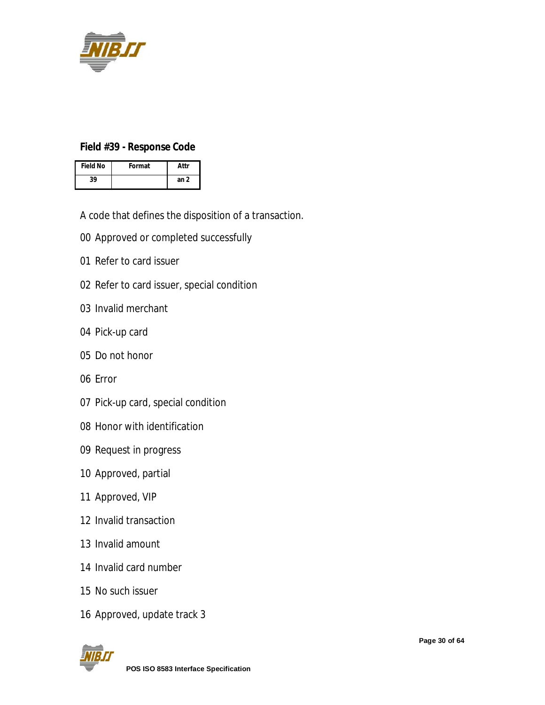

#### **Field #39 - Response Code**

| <b>Field No</b> | Format | Attr |
|-----------------|--------|------|
| 39              |        | an 2 |

A code that defines the disposition of a transaction.

- Approved or completed successfully
- Refer to card issuer
- Refer to card issuer, special condition
- Invalid merchant
- Pick-up card
- Do not honor
- Error
- Pick-up card, special condition
- Honor with identification
- Request in progress
- Approved, partial
- Approved, VIP
- Invalid transaction
- Invalid amount
- Invalid card number
- No such issuer
- Approved, update track 3

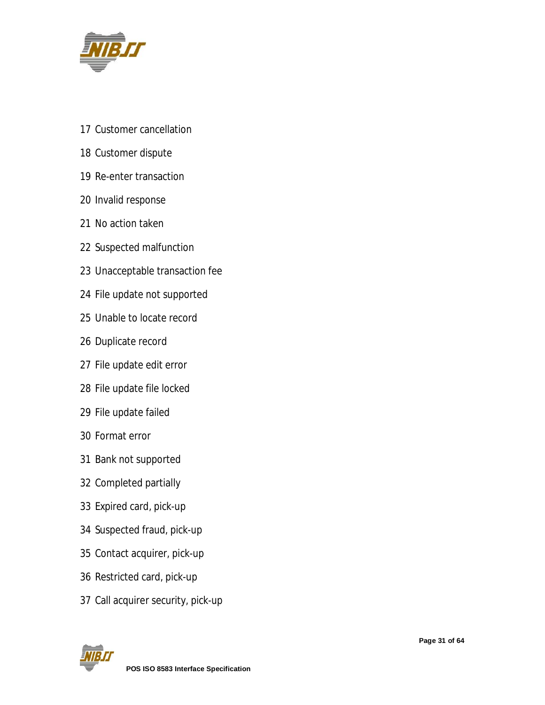

- Customer cancellation
- Customer dispute
- Re-enter transaction
- Invalid response
- No action taken
- Suspected malfunction
- Unacceptable transaction fee
- File update not supported
- Unable to locate record
- Duplicate record
- File update edit error
- File update file locked
- File update failed
- Format error
- Bank not supported
- Completed partially
- Expired card, pick-up
- Suspected fraud, pick-up
- Contact acquirer, pick-up
- Restricted card, pick-up
- Call acquirer security, pick-up

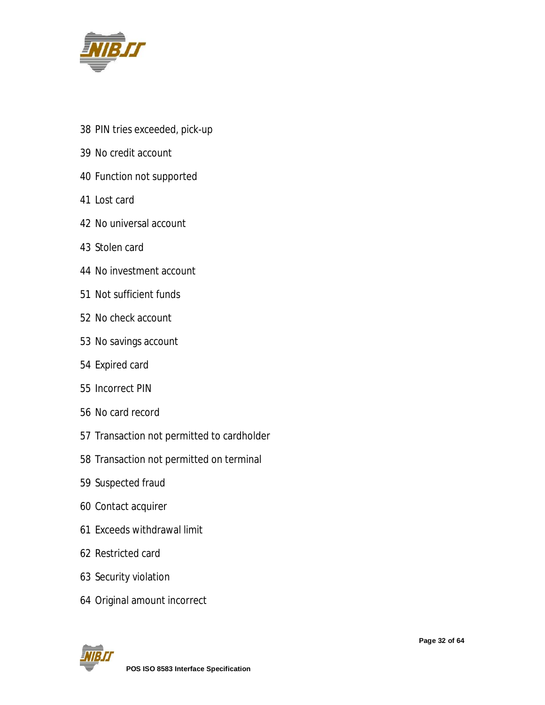

- PIN tries exceeded, pick-up
- No credit account
- Function not supported
- Lost card
- No universal account
- Stolen card
- No investment account
- Not sufficient funds
- No check account
- No savings account
- Expired card
- Incorrect PIN
- No card record
- Transaction not permitted to cardholder
- Transaction not permitted on terminal
- Suspected fraud
- Contact acquirer
- Exceeds withdrawal limit
- Restricted card
- Security violation
- Original amount incorrect

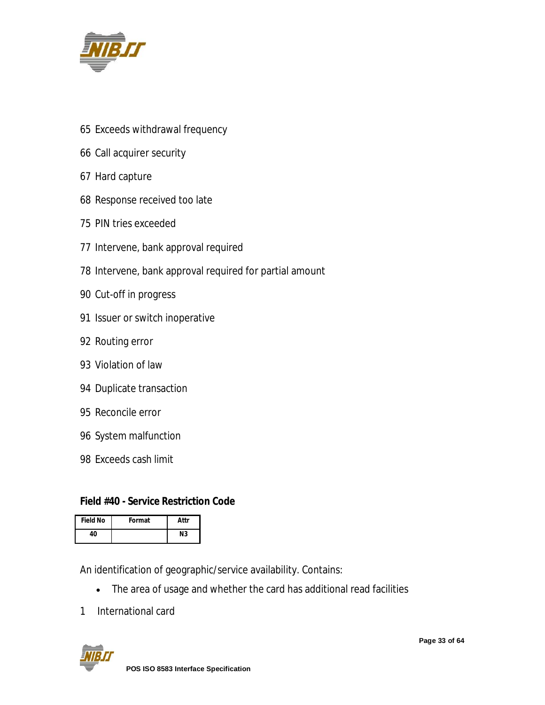

- Exceeds withdrawal frequency
- Call acquirer security
- Hard capture
- Response received too late
- PIN tries exceeded
- Intervene, bank approval required
- Intervene, bank approval required for partial amount
- Cut-off in progress
- Issuer or switch inoperative
- Routing error
- Violation of law
- Duplicate transaction
- Reconcile error
- System malfunction
- Exceeds cash limit

#### **Field #40 - Service Restriction Code**

| <b>Field No</b> | Format | Attr |
|-----------------|--------|------|
| 40              |        | Ν3   |

An identification of geographic/service availability. Contains:

- The area of usage and whether the card has additional read facilities
- International card

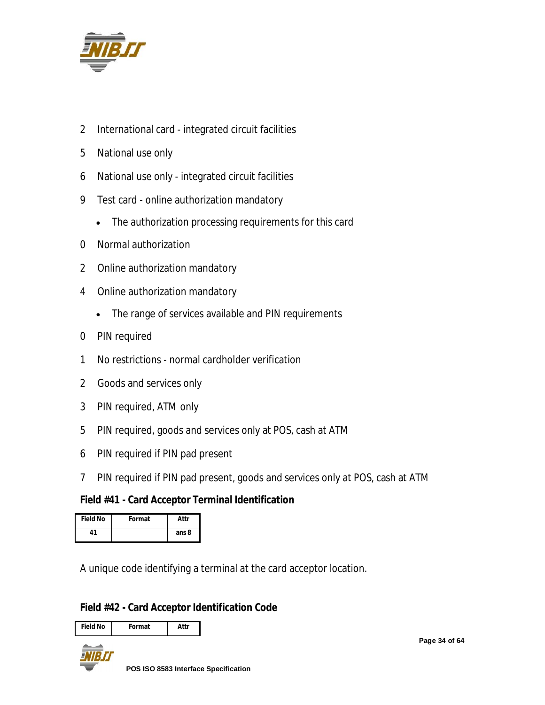

- International card integrated circuit facilities
- National use only
- National use only integrated circuit facilities
- Test card online authorization mandatory
	- The authorization processing requirements for this card
- Normal authorization
- Online authorization mandatory
- Online authorization mandatory
	- The range of services available and PIN requirements
- PIN required
- No restrictions normal cardholder verification
- Goods and services only
- PIN required, ATM only
- PIN required, goods and services only at POS, cash at ATM
- PIN required if PIN pad present
- PIN required if PIN pad present, goods and services only at POS, cash at ATM

#### **Field #41 - Card Acceptor Terminal Identification**

| <b>Field No</b> | Format | Attr  |
|-----------------|--------|-------|
| 41              |        | ans 8 |

A unique code identifying a terminal at the card acceptor location.

#### **Field #42 - Card Acceptor Identification Code**

| <b>Field No</b> | Format | Attr |
|-----------------|--------|------|



**Page 34 of 64**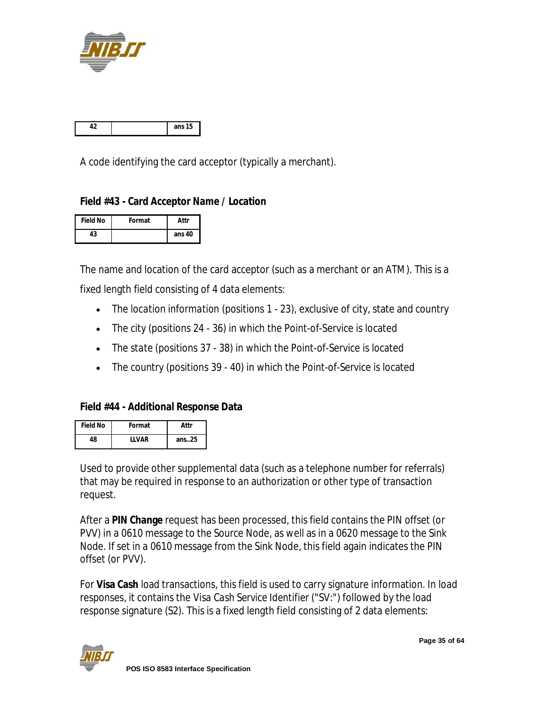

|  | э |
|--|---|

A code identifying the card acceptor (typically a merchant).

#### **Field #43 - Card Acceptor Name / Location**

| <b>Field No</b> | Format | Attr   |
|-----------------|--------|--------|
| 43              |        | ans 40 |

The name and location of the card acceptor (such as a merchant or an ATM). This is a fixed length field consisting of 4 data elements:

- The *location information* (positions 1 23), exclusive of city, state and country
- The *city* (positions 24 36) in which the Point-of-Service is located
- The *state* (positions 37 38) in which the Point-of-Service is located
- The *country* (positions 39 40) in which the Point-of-Service is located

#### **Field #44 - Additional Response Data**

| <b>Field No</b> | Format       | Attr      |
|-----------------|--------------|-----------|
| 48              | <b>IIVAR</b> | ans $.25$ |

Used to provide other supplemental data (such as a telephone number for referrals) that may be required in response to an authorization or other type of transaction request.

After a **PIN Change** request has been processed, this field contains the PIN offset (or PVV) in a 0610 message to the Source Node, as well as in a 0620 message to the Sink Node. If set in a 0610 message from the Sink Node, this field again indicates the PIN offset (or PVV).

For **Visa Cash** load transactions, this field is used to carry signature information. In load responses, it contains the *Visa Cash Service Identifier* ("SV:") followed by the load response signature (S2). This is a fixed length field consisting of 2 data elements:

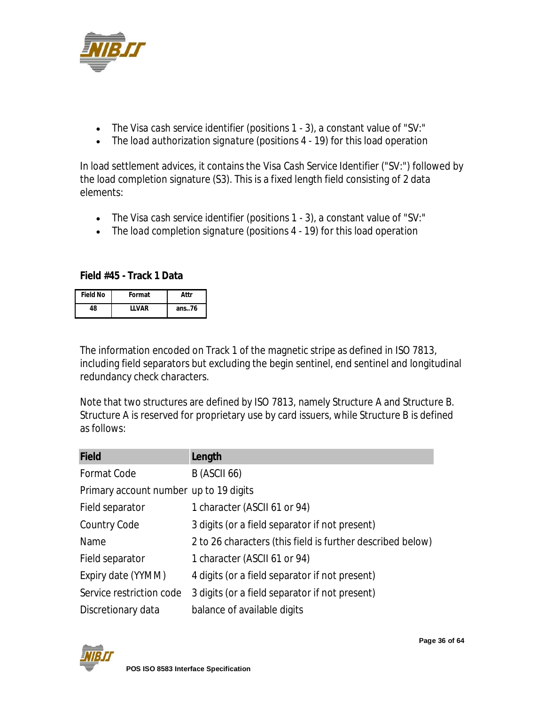

- The *Visa cash service identifier* (positions 1 3), a constant value of "SV:"
- The *load authorization signature* (positions 4 19) for this load operation

In load settlement advices, it contains the *Visa Cash Service Identifier* ("SV:") followed by the load completion signature (S3). This is a fixed length field consisting of 2 data elements:

- The *Visa cash service identifier* (positions 1 3), a constant value of "SV:"
- The *load completion signature* (positions 4 19) for this load operation

**Field #45 - Track 1 Data**

| <b>Field No</b> | Format  | Attr     |
|-----------------|---------|----------|
| 48              | I I VAR | ans $76$ |

The information encoded on Track 1 of the magnetic stripe as defined in ISO 7813, including field separators but excluding the begin sentinel, end sentinel and longitudinal redundancy check characters.

Note that two structures are defined by ISO 7813, namely Structure A and Structure B. Structure A is reserved for proprietary use by card issuers, while Structure B is defined as follows:

| <b>Field</b>                           | Length                                                     |
|----------------------------------------|------------------------------------------------------------|
| Format Code                            | <b>B</b> (ASCII 66)                                        |
| Primary account number up to 19 digits |                                                            |
| Field separator                        | 1 character (ASCII 61 or 94)                               |
| <b>Country Code</b>                    | 3 digits (or a field separator if not present)             |
| Name                                   | 2 to 26 characters (this field is further described below) |
| Field separator                        | 1 character (ASCII 61 or 94)                               |
| Expiry date (YYMM)                     | 4 digits (or a field separator if not present)             |
| Service restriction code               | 3 digits (or a field separator if not present)             |
| Discretionary data                     | balance of available digits                                |

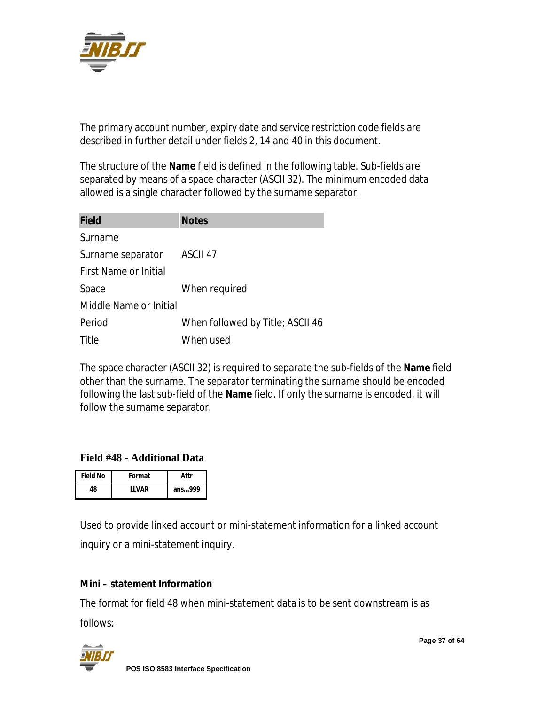

The *primary account number*, *expiry date* and *service restriction code* fields are described in further detail under fields 2, 14 and 40 in this document.

The structure of the **Name** field is defined in the following table. Sub-fields are separated by means of a space character (ASCII 32). The minimum encoded data allowed is a single character followed by the surname separator.

| <b>Field</b>                 | <b>Notes</b>                     |
|------------------------------|----------------------------------|
| Surname                      |                                  |
| Surname separator            | ASCII <sub>47</sub>              |
| <b>First Name or Initial</b> |                                  |
| Space                        | When required                    |
| Middle Name or Initial       |                                  |
| Period                       | When followed by Title; ASCII 46 |
| Title                        | When used                        |

The space character (ASCII 32) is required to separate the sub-fields of the **Name** field other than the surname. The separator terminating the surname should be encoded following the last sub-field of the **Name** field. If only the surname is encoded, it will follow the surname separator.

#### **Field #48 - Additional Data**

| <b>Field No</b> | Format  | Attr   |
|-----------------|---------|--------|
| 48              | I I VAR | ans999 |

Used to provide linked account or mini-statement information for a linked account inquiry or a mini-statement inquiry.

#### **Mini – statement Information**

The format for field 48 when mini-statement data is to be sent downstream is as follows:

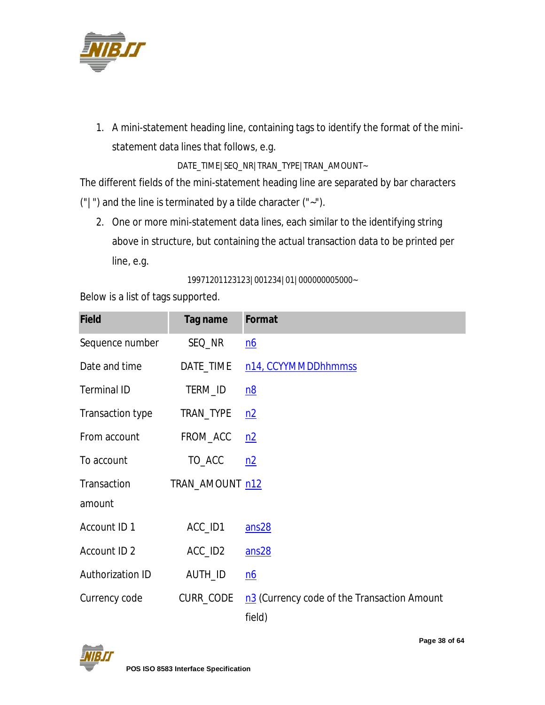

1. A mini-statement heading line, containing tags to identify the format of the ministatement data lines that follows, e.g.

DATE\_TIME|SEQ\_NR|TRAN\_TYPE|TRAN\_AMOUNT~

The different fields of the mini-statement heading line are separated by bar characters ("|") and the line is terminated by a tilde character ("~").

2. One or more mini-statement data lines, each similar to the identifying string above in structure, but containing the actual transaction data to be printed per line, e.g.

19971201123123|001234|01|000000005000~

Below is a list of tags supported.

| <b>Field</b>       | Tag name        | Format                                                |
|--------------------|-----------------|-------------------------------------------------------|
| Sequence number    | SEQ_NR          | n6                                                    |
| Date and time      | DATE_TIME       | n14, CCYYMMDDhhmmss                                   |
| <b>Terminal ID</b> | TERM_ID         | n8                                                    |
| Transaction type   | TRAN_TYPE       | n2                                                    |
| From account       | FROM_ACC        | n2                                                    |
| To account         | TO_ACC          | n2                                                    |
| Transaction        | TRAN_AMOUNT n12 |                                                       |
| amount             |                 |                                                       |
| Account ID 1       | ACC_ID1         | ans28                                                 |
| Account ID 2       | ACC_ID2         | ans28                                                 |
| Authorization ID   | AUTH_ID         | $\underline{nb}$                                      |
| Currency code      | CURR_CODE       | n3 (Currency code of the Transaction Amount<br>field) |

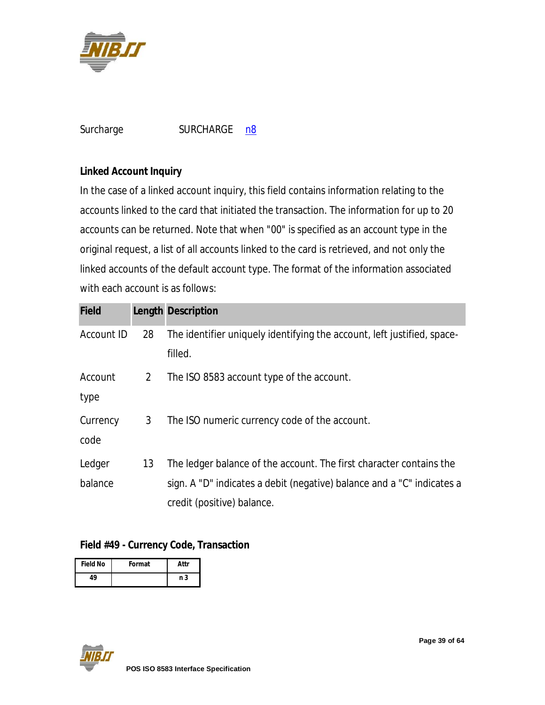

| Surcharge | <b>SURCHARGE</b> | n8 |
|-----------|------------------|----|
|-----------|------------------|----|

#### **Linked Account Inquiry**

In the case of a linked account inquiry, this field contains information relating to the accounts linked to the card that initiated the transaction. The information for up to 20 accounts can be returned. Note that when "00" is specified as an account type in the original request, a list of all accounts linked to the card is retrieved, and not only the linked accounts of the default account type. The format of the information associated with each account is as follows:

| <b>Field</b> |                | <b>Length Description</b>                                               |
|--------------|----------------|-------------------------------------------------------------------------|
| Account ID   | 28             | The identifier uniquely identifying the account, left justified, space- |
|              |                | filled.                                                                 |
| Account      | 2 <sup>7</sup> | The ISO 8583 account type of the account.                               |
| type         |                |                                                                         |
| Currency     | 3 <sup>1</sup> | The ISO numeric currency code of the account.                           |
| code         |                |                                                                         |
| Ledger       | 13             | The ledger balance of the account. The first character contains the     |
| balance      |                | sign. A "D" indicates a debit (negative) balance and a "C" indicates a  |
|              |                | credit (positive) balance.                                              |

#### **Field #49 - Currency Code, Transaction**

| <b>Field No</b> | Format | Attr |
|-----------------|--------|------|
| 10              |        | n 3  |

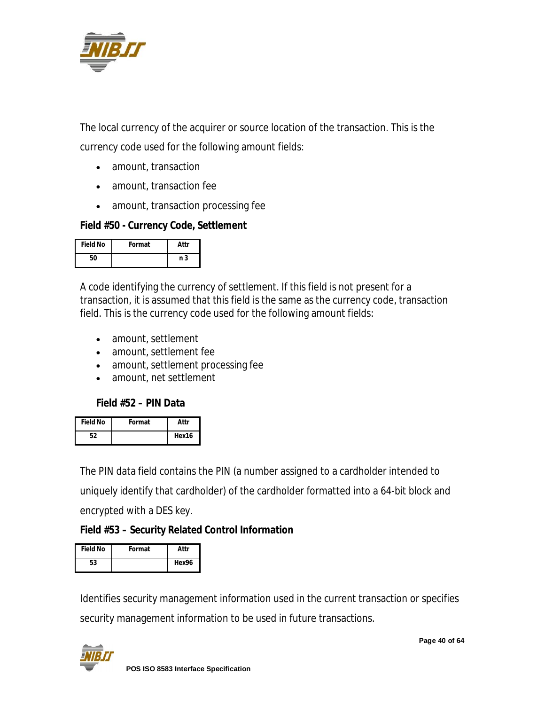

The local currency of the acquirer or source location of the transaction. This is the currency code used for the following amount fields:

- amount, transaction
- amount, transaction fee
- amount, transaction processing fee

#### **Field #50 - Currency Code, Settlement**

| <b>Field No</b> | Format | Attr |
|-----------------|--------|------|
| 50              |        | n 3  |

A code identifying the currency of settlement. If this field is not present for a transaction, it is assumed that this field is the same as the currency code, transaction field. This is the currency code used for the following amount fields:

- amount, settlement
- amount, settlement fee
- amount, settlement processing fee
- amount, net settlement

#### **Field #52 – PIN Data**

| <b>Field No</b> | Format | Attr  |
|-----------------|--------|-------|
|                 |        | Hex16 |

The PIN data field contains the PIN (a number assigned to a cardholder intended to uniquely identify that cardholder) of the cardholder formatted into a 64-bit block and encrypted with a DES key.

#### **Field #53 – Security Related Control Information**

| <b>Field No</b> | Format | Attr  |
|-----------------|--------|-------|
| 53              |        | Hex96 |

Identifies security management information used in the current transaction or specifies security management information to be used in future transactions.



**Page 40 of 64**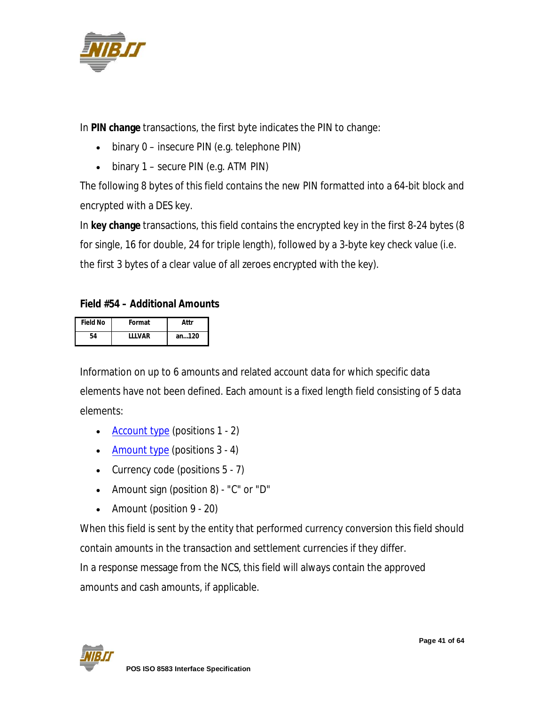

In **PIN change** transactions, the first byte indicates the PIN to change:

- binary 0 insecure PIN (e.g. telephone PIN)
- $\bullet$  binary 1 secure PIN (e.g. ATM PIN)

The following 8 bytes of this field contains the new PIN formatted into a 64-bit block and encrypted with a DES key.

In **key change** transactions, this field contains the encrypted key in the first 8-24 bytes (8 for single, 16 for double, 24 for triple length), followed by a 3-byte key check value (i.e. the first 3 bytes of a clear value of all zeroes encrypted with the key).

### **Field #54 – Additional Amounts**

| <b>Field No</b> | Format        | Attr  |
|-----------------|---------------|-------|
| 54              | <b>IIIVAR</b> | an120 |

Information on up to 6 amounts and related account data for which specific data elements have not been defined. Each amount is a fixed length field consisting of 5 data elements:

- Account type (positions 1 2)
- Amount type (positions 3 4)
- Currency code (positions 5 7)
- Amount sign (position 8) "C" or "D"
- Amount (position 9 20)

When this field is sent by the entity that performed currency conversion this field should contain amounts in the transaction and settlement currencies if they differ. In a response message from the NCS, this field will always contain the approved amounts and cash amounts, if applicable.

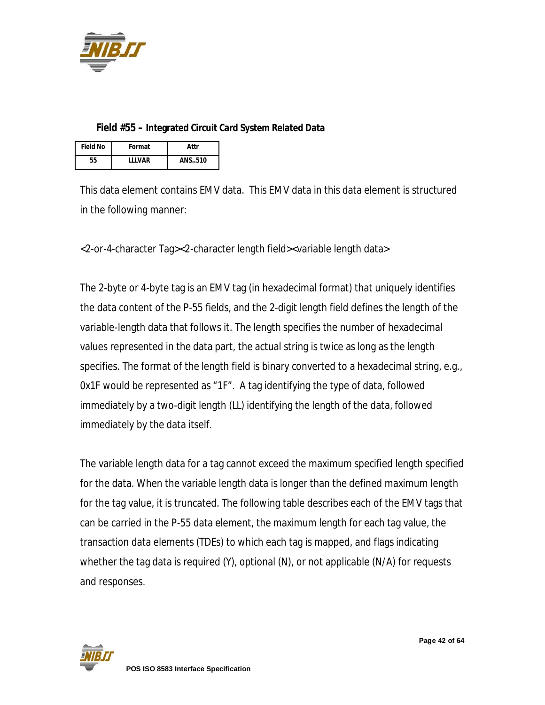

#### **Field #55 – Integrated Circuit Card System Related Data**

| <b>Field No</b> | Format        | Attr   |
|-----------------|---------------|--------|
| 55              | <b>IIIVAR</b> | ANS510 |

This data element contains EMV data. This EMV data in this data element is structured in the following manner:

<2-or-4-character Tag><2-character length field><variable length data>

The 2-byte or 4-byte tag is an EMV tag (in hexadecimal format) that uniquely identifies the data content of the P-55 fields, and the 2-digit length field defines the length of the variable-length data that follows it. The length specifies the number of hexadecimal values represented in the data part, the actual string is twice as long as the length specifies. The format of the length field is binary converted to a hexadecimal string, e.g., 0x1F would be represented as "1F". A tag identifying the type of data, followed immediately by a two-digit length (LL) identifying the length of the data, followed immediately by the data itself.

The variable length data for a tag cannot exceed the maximum specified length specified for the data. When the variable length data is longer than the defined maximum length for the tag value, it is truncated. The following table describes each of the EMV tags that can be carried in the P-55 data element, the maximum length for each tag value, the transaction data elements (TDEs) to which each tag is mapped, and flags indicating whether the tag data is required (Y), optional (N), or not applicable (N/A) for requests and responses.

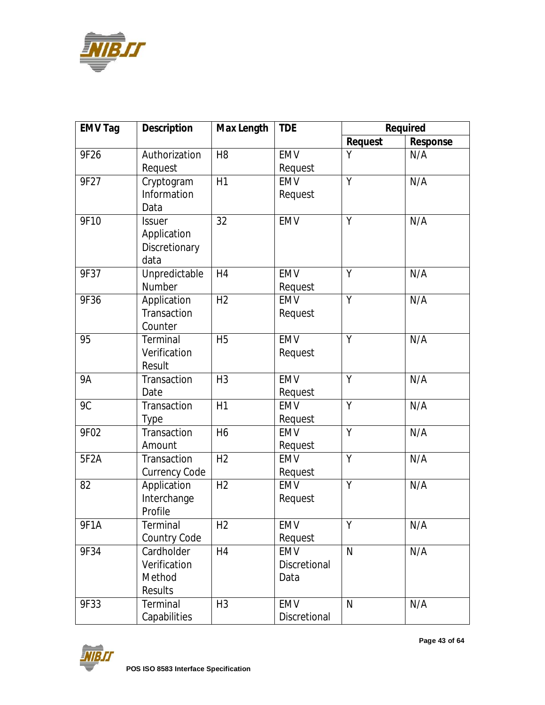

| <b>EMV Tag</b>    | <b>Description</b>   | <b>Max Length</b> | <b>TDE</b>   |                | <b>Required</b> |
|-------------------|----------------------|-------------------|--------------|----------------|-----------------|
|                   |                      |                   |              | <b>Request</b> | <b>Response</b> |
| 9F26              | Authorization        | H <sub>8</sub>    | <b>EMV</b>   | Υ              | N/A             |
|                   | Request              |                   | Request      |                |                 |
| 9F27              | Cryptogram           | H1                | <b>EMV</b>   | Y              | N/A             |
|                   | Information          |                   | Request      |                |                 |
|                   | Data                 |                   |              |                |                 |
| 9F10              | <b>Issuer</b>        | 32                | <b>EMV</b>   | Y              | N/A             |
|                   | Application          |                   |              |                |                 |
|                   | Discretionary        |                   |              |                |                 |
|                   | data                 |                   |              |                |                 |
| 9F37              | Unpredictable        | H4                | <b>EMV</b>   | Y              | N/A             |
|                   | Number               |                   | Request      |                |                 |
| 9F36              | Application          | H <sub>2</sub>    | <b>EMV</b>   | Y              | N/A             |
|                   | Transaction          |                   | Request      |                |                 |
|                   | Counter              |                   |              |                |                 |
| 95                | Terminal             | <b>H5</b>         | <b>EMV</b>   | Y              | N/A             |
|                   | Verification         |                   | Request      |                |                 |
|                   | Result               |                   |              |                |                 |
| <b>9A</b>         | Transaction          | H <sub>3</sub>    | <b>EMV</b>   | Y              | N/A             |
|                   | Date                 |                   | Request      |                |                 |
| 9C                | Transaction          | H1                | <b>EMV</b>   | Y              | N/A             |
|                   | <b>Type</b>          |                   | Request      |                |                 |
| 9F02              | Transaction          | H <sub>6</sub>    | <b>EMV</b>   | Y              | N/A             |
|                   | Amount               |                   | Request      |                |                 |
| 5F <sub>2</sub> A | Transaction          | H <sub>2</sub>    | <b>EMV</b>   | Y              | N/A             |
|                   | <b>Currency Code</b> |                   | Request      |                |                 |
| 82                | Application          | H <sub>2</sub>    | <b>EMV</b>   | Y              | N/A             |
|                   | Interchange          |                   | Request      |                |                 |
|                   | Profile              |                   |              |                |                 |
| 9F1A              | Terminal             | H <sub>2</sub>    | <b>EMV</b>   | Υ              | N/A             |
|                   | Country Code         |                   | Request      |                |                 |
| 9F34              | Cardholder           | H <sub>4</sub>    | EMV          | $\mathsf{N}$   | N/A             |
|                   | Verification         |                   | Discretional |                |                 |
|                   | Method               |                   | Data         |                |                 |
|                   | <b>Results</b>       |                   |              |                |                 |
| 9F33              | Terminal             | H <sub>3</sub>    | EMV          | $\mathsf{N}$   | N/A             |
|                   | Capabilities         |                   | Discretional |                |                 |

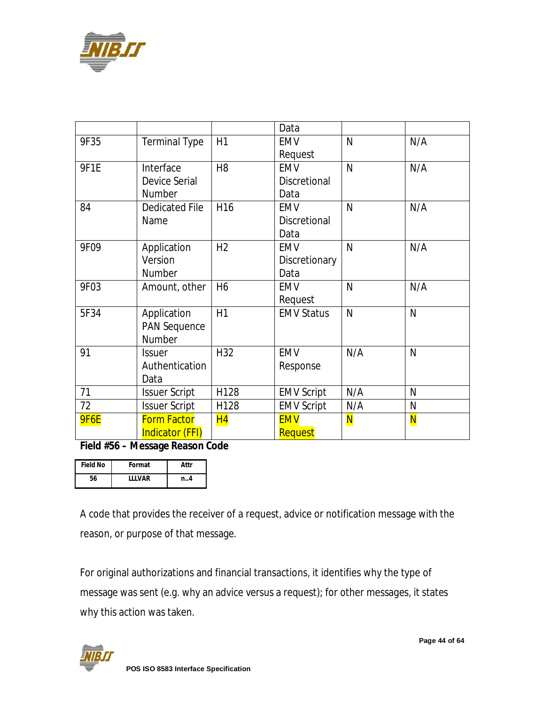

|             |                        |                 | Data                |              |                         |
|-------------|------------------------|-----------------|---------------------|--------------|-------------------------|
| 9F35        | <b>Terminal Type</b>   | H1              | <b>EMV</b>          | $\mathsf{N}$ | N/A                     |
|             |                        |                 | Request             |              |                         |
| 9F1E        | Interface              | H <sub>8</sub>  | <b>EMV</b>          | $\mathsf{N}$ | N/A                     |
|             | <b>Device Serial</b>   |                 | <b>Discretional</b> |              |                         |
|             | Number                 |                 | Data                |              |                         |
| 84          | <b>Dedicated File</b>  | H <sub>16</sub> | <b>EMV</b>          | $\mathsf{N}$ | N/A                     |
|             | Name                   |                 | <b>Discretional</b> |              |                         |
|             |                        |                 | Data                |              |                         |
| 9F09        | Application            | H <sub>2</sub>  | <b>EMV</b>          | N            | N/A                     |
|             | Version                |                 | Discretionary       |              |                         |
|             | Number                 |                 | Data                |              |                         |
| 9F03        | Amount, other          | H <sub>6</sub>  | <b>EMV</b>          | $\mathsf{N}$ | N/A                     |
|             |                        |                 | Request             |              |                         |
| 5F34        | Application            | H1              | <b>EMV Status</b>   | $\mathsf{N}$ | N                       |
|             | <b>PAN Sequence</b>    |                 |                     |              |                         |
|             | Number                 |                 |                     |              |                         |
| 91          | <b>Issuer</b>          | H32             | <b>EMV</b>          | N/A          | N                       |
|             | Authentication         |                 | Response            |              |                         |
|             | Data                   |                 |                     |              |                         |
| 71          | <b>Issuer Script</b>   | H128            | <b>EMV Script</b>   | N/A          | N                       |
| 72          | <b>Issuer Script</b>   | H128            | <b>EMV Script</b>   | N/A          | N                       |
| <b>9F6E</b> | <b>Form Factor</b>     | H <sub>4</sub>  | <b>EMV</b>          | <b>N</b>     | $\overline{\mathsf{N}}$ |
|             | <b>Indicator (FFI)</b> |                 | Request             |              |                         |

**Field #56 – Message Reason Code**

| <b>Field No</b> | Format        | Attr |
|-----------------|---------------|------|
| 56              | <b>IIIVAR</b> | n4   |

A code that provides the receiver of a request, advice or notification message with the reason, or purpose of that message.

For original authorizations and financial transactions, it identifies why the type of message was sent (e.g. why an advice versus a request); for other messages, it states why this action was taken.

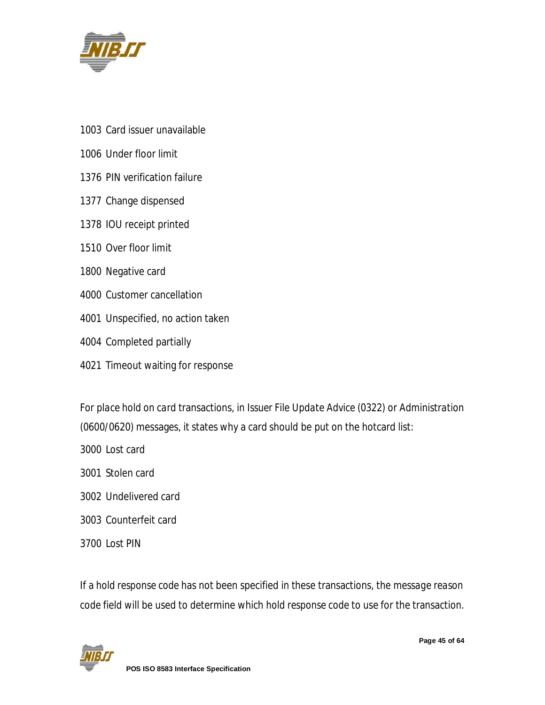

- Card issuer unavailable
- Under floor limit
- PIN verification failure
- Change dispensed
- IOU receipt printed
- Over floor limit
- Negative card
- Customer cancellation
- Unspecified, no action taken
- Completed partially
- Timeout waiting for response

For *place hold on card* transactions, in *Issuer File Update Advice* (0322) or *Administration* (0600/0620) messages, it states why a card should be put on the hotcard list:

- Lost card
- Stolen card
- Undelivered card
- Counterfeit card
- Lost PIN

If a *hold response code* has not been specified in these transactions, the *message reason code* field will be used to determine which *hold response code* to use for the transaction.

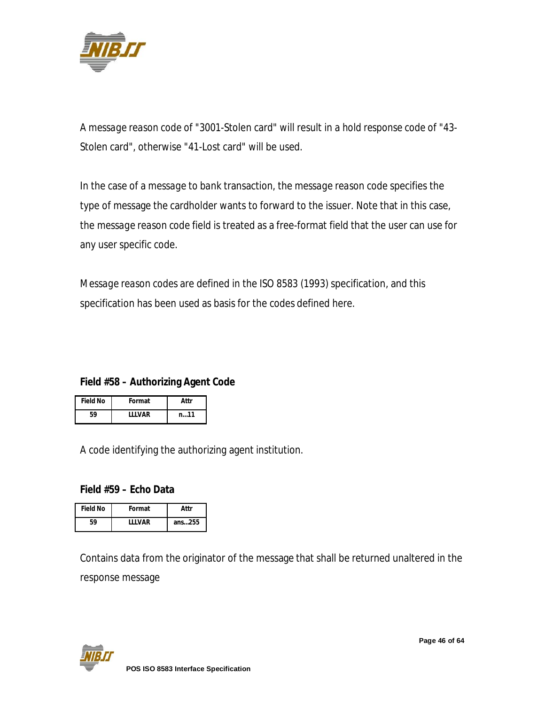

A *message reason code* of "3001-Stolen card" will result in a *hold response code* of "43- Stolen card", otherwise "41-Lost card" will be used.

In the case of a *message to bank* transaction, the *message reason code* specifies the type of message the cardholder wants to forward to the issuer. Note that in this case, the *message reason code* field is treated as a free-format field that the user can use for any user specific code.

*Message reason codes* are defined in the *ISO 8583 (1993)* specification, and this specification has been used as basis for the codes defined here.

#### **Field #58 – Authorizing Agent Code**

| <b>Field No</b> | Format  | Attr     |
|-----------------|---------|----------|
| 59              | I I VAR | $n_{}11$ |

A code identifying the authorizing agent institution.

#### **Field #59 – Echo Data**

| <b>Field No</b> | Format        | Attr   |
|-----------------|---------------|--------|
| 59              | <b>IIIVAR</b> | ans255 |

Contains data from the originator of the message that shall be returned unaltered in the response message

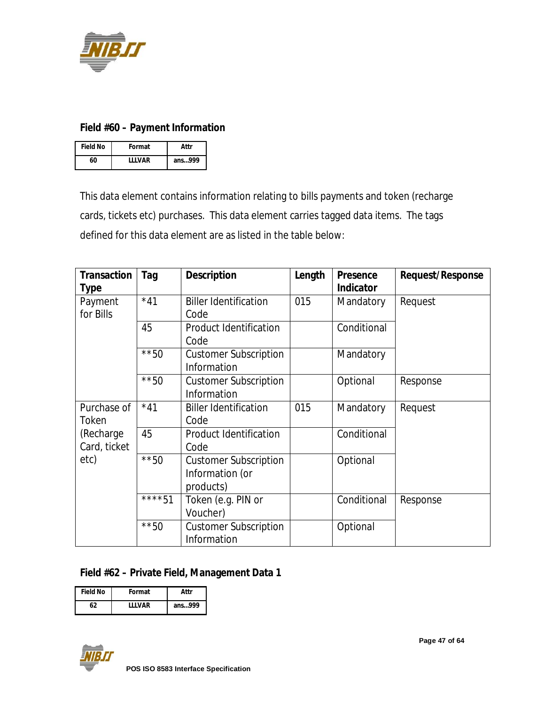

#### **Field #60 – Payment Information**

| <b>Field No</b> | Format  | Attr   |
|-----------------|---------|--------|
| 60              | I I VAR | ans999 |

This data element contains information relating to bills payments and token (recharge cards, tickets etc) purchases. This data element carries tagged data items. The tags defined for this data element are as listed in the table below:

| <b>Transaction</b> | Tag     | <b>Description</b>            | Length | <b>Presence</b>  | <b>Request/Response</b> |
|--------------------|---------|-------------------------------|--------|------------------|-------------------------|
| <b>Type</b>        |         |                               |        | <b>Indicator</b> |                         |
| Payment            | $*41$   | <b>Biller Identification</b>  | 015    | Mandatory        | Request                 |
| for Bills          |         | Code                          |        |                  |                         |
|                    | 45      | <b>Product Identification</b> |        | Conditional      |                         |
|                    |         | Code                          |        |                  |                         |
|                    | $***50$ | <b>Customer Subscription</b>  |        | Mandatory        |                         |
|                    |         | Information                   |        |                  |                         |
|                    | $***50$ | <b>Customer Subscription</b>  |        | Optional         | Response                |
|                    |         | Information                   |        |                  |                         |
| Purchase of        | $*41$   | <b>Biller Identification</b>  | 015    | Mandatory        | Request                 |
| Token              |         | Code                          |        |                  |                         |
| (Recharge          | 45      | <b>Product Identification</b> |        | Conditional      |                         |
| Card, ticket       |         | Code                          |        |                  |                         |
| etc)               | $***50$ | <b>Customer Subscription</b>  |        | Optional         |                         |
|                    |         | Information (or               |        |                  |                         |
|                    |         | products)                     |        |                  |                         |
|                    | ****51  | Token (e.g. PIN or            |        | Conditional      | Response                |
|                    |         | Voucher)                      |        |                  |                         |
|                    | $***50$ | <b>Customer Subscription</b>  |        | Optional         |                         |
|                    |         | Information                   |        |                  |                         |

#### **Field #62 – Private Field, Management Data 1**

| <b>Field No</b> | Format        | Attr   |
|-----------------|---------------|--------|
| 62              | <b>IIIVAR</b> | ans999 |

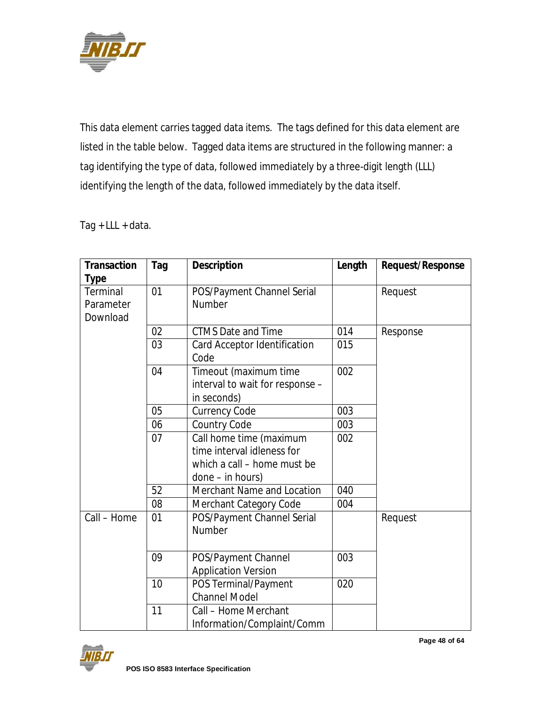

This data element carries tagged data items. The tags defined for this data element are listed in the table below. Tagged data items are structured in the following manner: a tag identifying the type of data, followed immediately by a three-digit length (LLL) identifying the length of the data, followed immediately by the data itself.

Tag  $+$  LLL  $+$  data.

| <b>Transaction</b> | Tag | <b>Description</b>              | Length | <b>Request/Response</b> |
|--------------------|-----|---------------------------------|--------|-------------------------|
| <b>Type</b>        |     |                                 |        |                         |
| Terminal           | 01  | POS/Payment Channel Serial      |        | Request                 |
| Parameter          |     | <b>Number</b>                   |        |                         |
| Download           |     |                                 |        |                         |
|                    | 02  | <b>CTMS Date and Time</b>       | 014    | Response                |
|                    | 03  | Card Acceptor Identification    | 015    |                         |
|                    |     | Code                            |        |                         |
|                    | 04  | Timeout (maximum time           | 002    |                         |
|                    |     | interval to wait for response - |        |                         |
|                    |     | in seconds)                     |        |                         |
|                    | 05  | <b>Currency Code</b>            | 003    |                         |
|                    | 06  | <b>Country Code</b>             | 003    |                         |
|                    | 07  | Call home time (maximum         | 002    |                         |
|                    |     | time interval idleness for      |        |                         |
|                    |     | which a call – home must be     |        |                         |
|                    |     | done – in hours)                |        |                         |
|                    | 52  | Merchant Name and Location      | 040    |                         |
|                    | 08  | Merchant Category Code          | 004    |                         |
| Call - Home        | 01  | POS/Payment Channel Serial      |        | Request                 |
|                    |     | <b>Number</b>                   |        |                         |
|                    |     |                                 |        |                         |
|                    | 09  | POS/Payment Channel             | 003    |                         |
|                    |     | <b>Application Version</b>      |        |                         |
|                    | 10  | POS Terminal/Payment            | 020    |                         |
|                    |     | <b>Channel Model</b>            |        |                         |
|                    | 11  | Call - Home Merchant            |        |                         |
|                    |     | Information/Complaint/Comm      |        |                         |



**Page 48 of 64**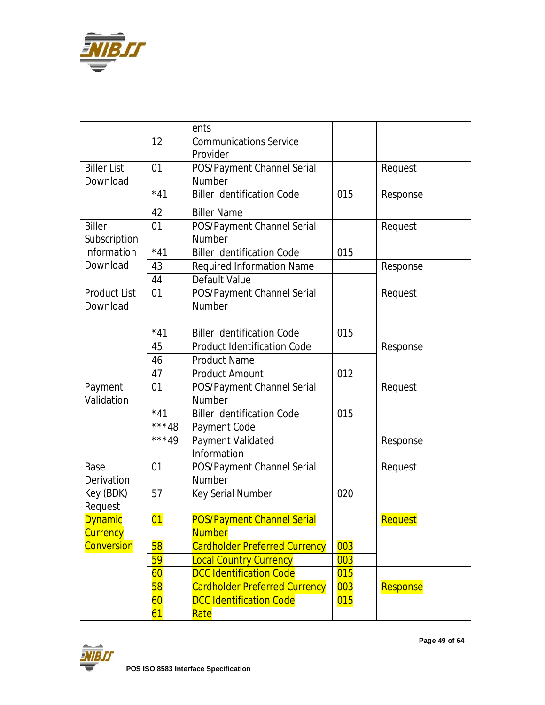

|                     |         | ents                                 |     |          |
|---------------------|---------|--------------------------------------|-----|----------|
|                     | 12      | <b>Communications Service</b>        |     |          |
|                     |         | Provider                             |     |          |
| <b>Biller List</b>  | 01      | POS/Payment Channel Serial           |     | Request  |
| Download            |         | <b>Number</b>                        |     |          |
|                     | $*41$   | <b>Biller Identification Code</b>    | 015 | Response |
|                     | 42      | <b>Biller Name</b>                   |     |          |
| <b>Biller</b>       | 01      | POS/Payment Channel Serial           |     | Request  |
| Subscription        |         | <b>Number</b>                        |     |          |
| Information         | $*41$   | <b>Biller Identification Code</b>    | 015 |          |
| Download            | 43      | <b>Required Information Name</b>     |     | Response |
|                     | 44      | Default Value                        |     |          |
| <b>Product List</b> | 01      | POS/Payment Channel Serial           |     | Request  |
| Download            |         | <b>Number</b>                        |     |          |
|                     |         |                                      |     |          |
|                     | $*41$   | <b>Biller Identification Code</b>    | 015 |          |
|                     | 45      | <b>Product Identification Code</b>   |     | Response |
|                     | 46      | <b>Product Name</b>                  |     |          |
|                     | 47      | <b>Product Amount</b>                | 012 |          |
| Payment             | 01      | POS/Payment Channel Serial           |     | Request  |
| Validation          |         | <b>Number</b>                        |     |          |
|                     | $*41$   | <b>Biller Identification Code</b>    | 015 |          |
|                     | ***48   | Payment Code                         |     |          |
|                     | $***49$ | Payment Validated                    |     | Response |
|                     |         | Information                          |     |          |
| Base                | 01      | POS/Payment Channel Serial           |     | Request  |
| Derivation          |         | <b>Number</b>                        |     |          |
| Key (BDK)           | 57      | Key Serial Number                    | 020 |          |
| Request             |         |                                      |     |          |
| <b>Dynamic</b>      | 01      | <b>POS/Payment Channel Serial</b>    |     | Request  |
| <b>Currency</b>     |         | <b>Number</b>                        |     |          |
| Conversion          | 58      | <b>Cardholder Preferred Currency</b> | 003 |          |
|                     | 59      | <b>Local Country Currency</b>        | 003 |          |
|                     | 60      | <b>DCC Identification Code</b>       | 015 |          |
|                     | 58      | <b>Cardholder Preferred Currency</b> | 003 | Response |
|                     | 60      | <b>DCC Identification Code</b>       | 015 |          |
|                     | 61      | Rate                                 |     |          |

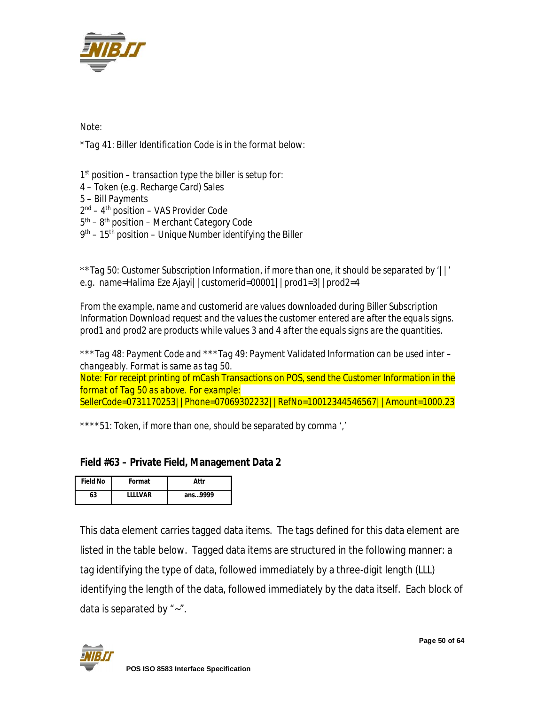

*Note:*

*\*Tag 41: Biller Identification Code is in the format below:*

 *st position – transaction type the biller is setup for: 4 – Token (e.g. Recharge Card) Sales 5 – Bill Payments nd – 4 th position – VAS Provider Code th – 8 th position – Merchant Category Code th – 15th position – Unique Number identifying the Biller*

*\*\*Tag 50: Customer Subscription Information, if more than one, it should be separated by '||' e.g. name=Halima Eze Ajayi||customerid=00001||prod1=3||prod2=4*

*From the example, name and customerid are values downloaded during Biller Subscription Information Download request and the values the customer entered are after the equals signs. prod1 and prod2 are products while values 3 and 4 after the equals signs are the quantities.*

*\*\*\*Tag 48: Payment Code and \*\*\*Tag 49: Payment Validated Information can be used inter – changeably. Format is same as tag 50.*

*Note: For receipt printing of mCash Transactions on POS, send the Customer Information in the format of Tag 50 as above. For example: SellerCode=0731170253||Phone=07069302232||RefNo=10012344546567||Amount=1000.23*

*\*\*\*\*51: Token, if more than one, should be separated by comma ','*

#### **Field #63 – Private Field, Management Data 2**

| <b>Field No</b> | Format         | Attr    |
|-----------------|----------------|---------|
| 63              | <b>IIIIVAR</b> | ans9999 |

This data element carries tagged data items. The tags defined for this data element are listed in the table below. Tagged data items are structured in the following manner: a tag identifying the type of data, followed immediately by a three-digit length (LLL) identifying the length of the data, followed immediately by the data itself. Each block of data is separated by "~".

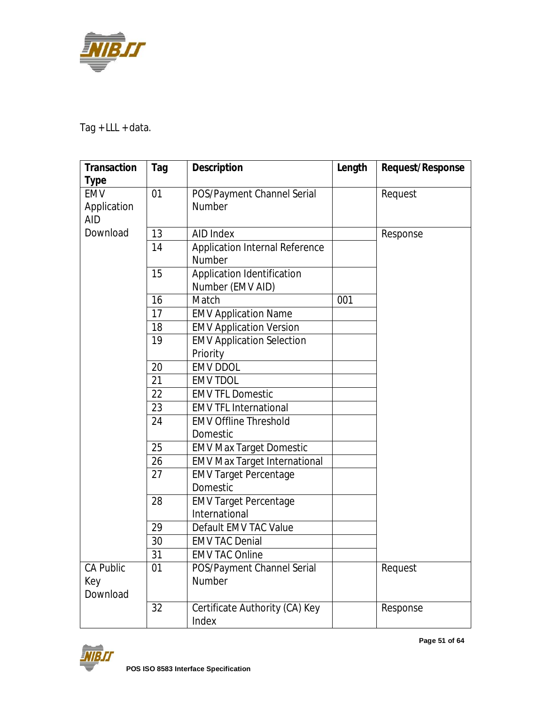

Tag + LLL + data.

| <b>Transaction</b>        | Tag | <b>Description</b>                       | Length | <b>Request/Response</b> |
|---------------------------|-----|------------------------------------------|--------|-------------------------|
| <b>Type</b>               |     |                                          |        |                         |
| <b>EMV</b>                | 01  | POS/Payment Channel Serial               |        | Request                 |
| Application<br><b>AID</b> |     | <b>Number</b>                            |        |                         |
| Download                  |     |                                          |        |                         |
|                           | 13  | AID Index                                |        | Response                |
|                           | 14  | Application Internal Reference<br>Number |        |                         |
|                           |     |                                          |        |                         |
|                           | 15  | Application Identification               |        |                         |
|                           |     | Number (EMV AID)                         |        |                         |
|                           | 16  | Match                                    | 001    |                         |
|                           | 17  | <b>EMV Application Name</b>              |        |                         |
|                           | 18  | <b>EMV Application Version</b>           |        |                         |
|                           | 19  | <b>EMV Application Selection</b>         |        |                         |
|                           |     | Priority                                 |        |                         |
|                           | 20  | <b>EMV DDOL</b>                          |        |                         |
|                           | 21  | <b>EMV TDOL</b>                          |        |                         |
|                           | 22  | <b>EMV TFL Domestic</b>                  |        |                         |
|                           | 23  | <b>EMV TFL International</b>             |        |                         |
|                           | 24  | <b>EMV Offline Threshold</b>             |        |                         |
|                           |     | Domestic                                 |        |                         |
|                           | 25  | <b>EMV Max Target Domestic</b>           |        |                         |
|                           | 26  | <b>EMV Max Target International</b>      |        |                         |
|                           | 27  | <b>EMV Target Percentage</b>             |        |                         |
|                           |     | Domestic                                 |        |                         |
|                           | 28  | <b>EMV Target Percentage</b>             |        |                         |
|                           |     | International                            |        |                         |
|                           | 29  | Default EMV TAC Value                    |        |                         |
|                           | 30  | <b>EMV TAC Denial</b>                    |        |                         |
|                           | 31  | <b>EMV TAC Online</b>                    |        |                         |
| <b>CA Public</b>          | 01  | POS/Payment Channel Serial               |        | Request                 |
| Key                       |     | Number                                   |        |                         |
| Download                  |     |                                          |        |                         |
|                           | 32  | Certificate Authority (CA) Key           |        | Response                |
|                           |     | Index                                    |        |                         |

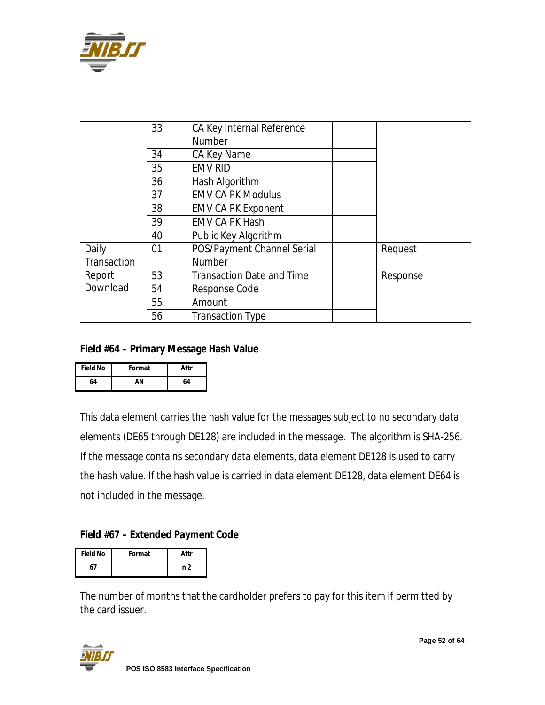

|             | 33 | CA Key Internal Reference        |          |
|-------------|----|----------------------------------|----------|
|             |    | <b>Number</b>                    |          |
|             | 34 | CA Key Name                      |          |
|             | 35 | <b>EMV RID</b>                   |          |
|             | 36 | Hash Algorithm                   |          |
|             | 37 | <b>EMV CA PK Modulus</b>         |          |
|             | 38 | <b>EMV CA PK Exponent</b>        |          |
|             | 39 | <b>EMV CA PK Hash</b>            |          |
|             | 40 | Public Key Algorithm             |          |
| Daily       | 01 | POS/Payment Channel Serial       | Request  |
| Transaction |    | <b>Number</b>                    |          |
| Report      | 53 | <b>Transaction Date and Time</b> | Response |
| Download    | 54 | Response Code                    |          |
|             | 55 | Amount                           |          |
|             | 56 | <b>Transaction Type</b>          |          |

#### **Field #64 – Primary Message Hash Value**

| <b>Field No</b> | Format | Attr |
|-----------------|--------|------|
| 64              | ΔN     | 64   |

This data element carries the hash value for the messages subject to no secondary data elements (DE65 through DE128) are included in the message. The algorithm is SHA-256. If the message contains secondary data elements, data element DE128 is used to carry the hash value. If the hash value is carried in data element DE128, data element DE64 is not included in the message.

## **Field #67 – Extended Payment Code**

| <b>Field No</b> | Format | Attr |
|-----------------|--------|------|
| 67              |        | n 2  |

The number of months that the cardholder prefers to pay for this item if permitted by the card issuer.



**Page 52 of 64**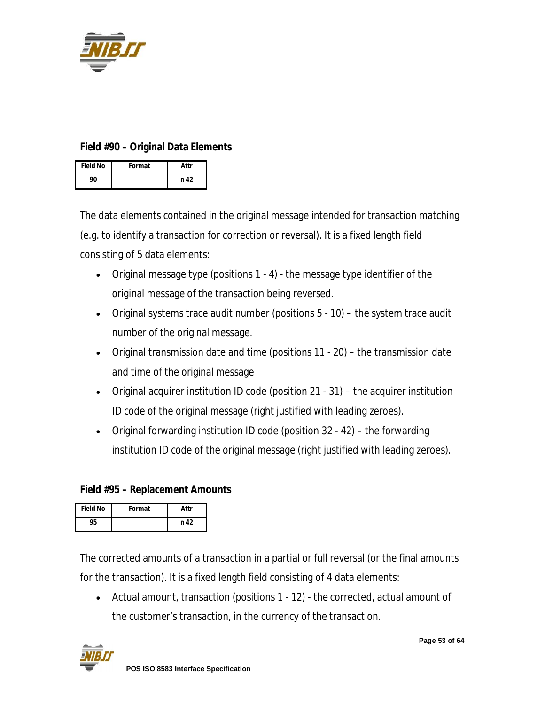

#### **Field #90 – Original Data Elements**

| <b>Field No</b> | Format | Attr |
|-----------------|--------|------|
| 90              |        | n 42 |

The data elements contained in the original message intended for transaction matching (e.g. to identify a transaction for correction or reversal). It is a fixed length field consisting of 5 data elements:

- Original message type (positions 1 4) the message type identifier of the original message of the transaction being reversed.
- Original systems trace audit number (positions 5 10) the system trace audit number of the original message.
- Original transmission date and time (positions 11 20) the transmission date and time of the original message
- Original acquirer institution ID code (position 21 31) the acquirer institution ID code of the original message (right justified with leading zeroes).
- Original forwarding institution ID code (position 32 42) the forwarding institution ID code of the original message (right justified with leading zeroes).

#### **Field #95 – Replacement Amounts**

| <b>Field No</b> | Format | Attr |
|-----------------|--------|------|
|                 |        | n 42 |

The corrected amounts of a transaction in a partial or full reversal (or the final amounts for the transaction). It is a fixed length field consisting of 4 data elements:

 Actual amount, transaction (positions 1 - 12) - the corrected, actual amount of the customer's transaction, in the currency of the transaction.

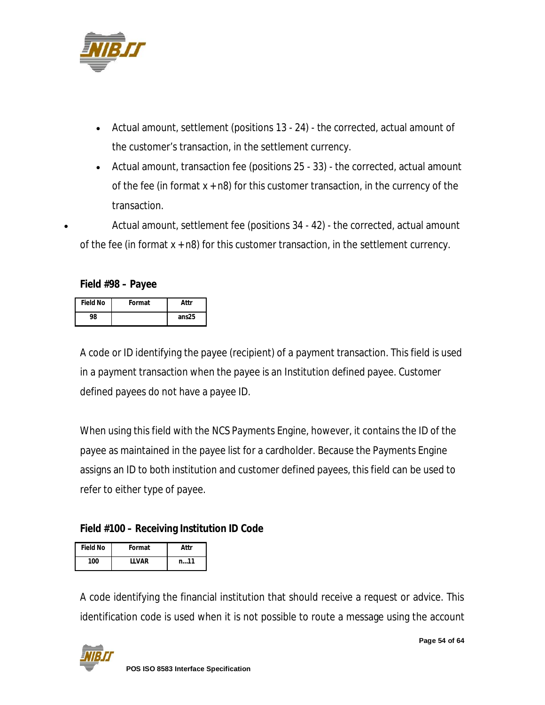

- Actual amount, settlement (positions 13 24) the corrected, actual amount of the customer's transaction, in the settlement currency.
- Actual amount, transaction fee (positions 25 33) the corrected, actual amount of the fee (in format  $x + n8$ ) for this customer transaction, in the currency of the transaction.

 Actual amount, settlement fee (positions 34 - 42) - the corrected, actual amount of the fee (in format  $x + n8$ ) for this customer transaction, in the settlement currency.

**Field #98 – Payee**

| <b>Field No</b> | Format | Attr              |
|-----------------|--------|-------------------|
| 98              |        | ans <sub>25</sub> |

A code or ID identifying the payee (recipient) of a payment transaction. This field is used in a payment transaction when the payee is an Institution defined payee. Customer defined payees do not have a payee ID.

When using this field with the NCS Payments Engine, however, it contains the ID of the payee as maintained in the payee list for a cardholder. Because the Payments Engine assigns an ID to both institution and customer defined payees, this field can be used to refer to either type of payee.

#### **Field #100 – Receiving Institution ID Code**

| <b>Field No</b> | Format  | Attr           |
|-----------------|---------|----------------|
| 100             | I I VAR | $n_{\cdots}11$ |

A code identifying the financial institution that should receive a request or advice. This identification code is used when it is not possible to route a message using the account

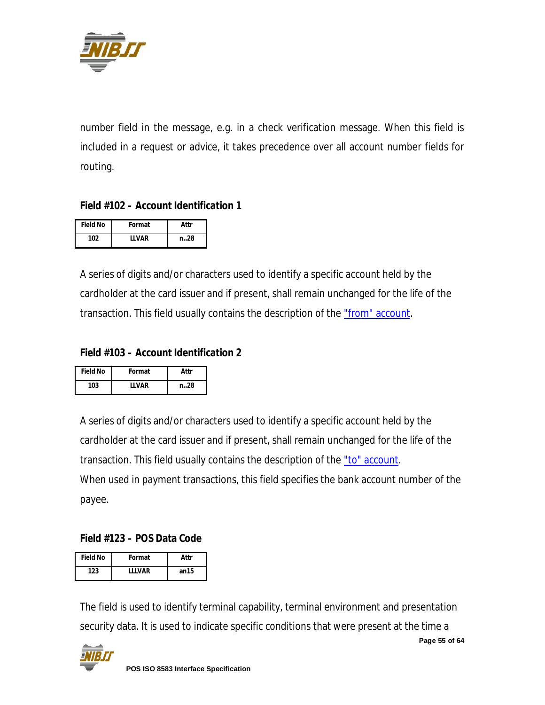

number field in the message, e.g. in a check verification message. When this field is included in a request or advice, it takes precedence over all account number fields for routing.

#### **Field #102 – Account Identification 1**

| <b>Field No</b> | Format       | Attr  |
|-----------------|--------------|-------|
| 102             | <b>IIVAR</b> | n. 28 |

A series of digits and/or characters used to identify a specific account held by the cardholder at the card issuer and if present, shall remain unchanged for the life of the transaction. This field usually contains the description of the "from" account.

#### **Field #103 – Account Identification 2**

| <b>Field No</b> | Format  | Attr |
|-----------------|---------|------|
| 103             | I I VAR | n28  |

A series of digits and/or characters used to identify a specific account held by the cardholder at the card issuer and if present, shall remain unchanged for the life of the transaction. This field usually contains the description of the "to" account. When used in payment transactions, this field specifies the bank account number of the payee.

#### **Field #123 – POS Data Code**

| <b>Field No</b> | Format  | Attr  |
|-----------------|---------|-------|
| 123             | I I VAR | an 15 |

The field is used to identify terminal capability, terminal environment and presentation security data. It is used to indicate specific conditions that were present at the time a

**Page 55 of 64**

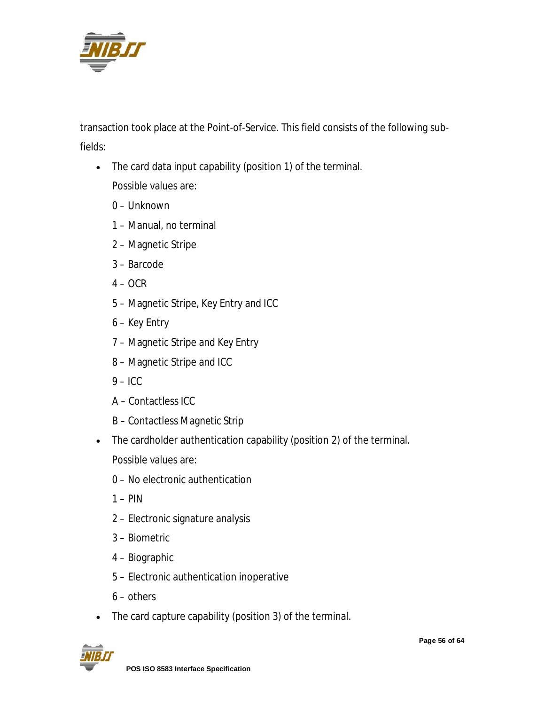

transaction took place at the Point-of-Service. This field consists of the following subfields:

- The card data input capability (position 1) of the terminal. Possible values are:
	- 0 Unknown
	- 1 Manual, no terminal
	- 2 Magnetic Stripe
	- 3 Barcode
	- $4 OCR$
	- 5 Magnetic Stripe, Key Entry and ICC
	- 6 Key Entry
	- 7 Magnetic Stripe and Key Entry
	- 8 Magnetic Stripe and ICC
	- $9 I$ CC
	- A Contactless ICC
	- B Contactless Magnetic Strip
- The cardholder authentication capability (position 2) of the terminal. Possible values are:
	- 0 No electronic authentication
	- $1 PIN$
	- 2 Electronic signature analysis
	- 3 Biometric
	- 4 Biographic
	- 5 Electronic authentication inoperative
	- 6 others
- The card capture capability (position 3) of the terminal.

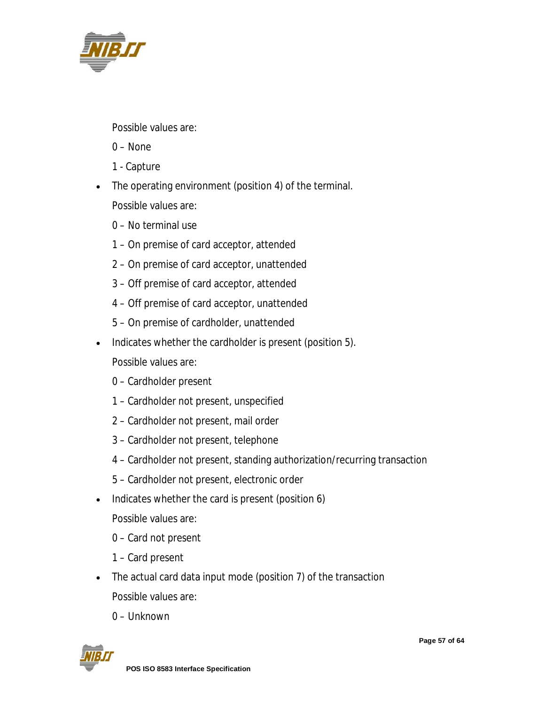

Possible values are:

- 0 None
- 1 Capture
- The operating environment (position 4) of the terminal. Possible values are:
	- 0 No terminal use
	- 1 On premise of card acceptor, attended
	- 2 On premise of card acceptor, unattended
	- 3 Off premise of card acceptor, attended
	- 4 Off premise of card acceptor, unattended
	- 5 On premise of cardholder, unattended
- Indicates whether the cardholder is present (position 5).
	- Possible values are:
	- 0 Cardholder present
	- 1 Cardholder not present, unspecified
	- 2 Cardholder not present, mail order
	- 3 Cardholder not present, telephone
	- 4 Cardholder not present, standing authorization/recurring transaction
	- 5 Cardholder not present, electronic order
- Indicates whether the card is present (position 6)
	- Possible values are:
	- 0 Card not present
	- 1 Card present
- The actual card data input mode (position 7) of the transaction Possible values are:
	- 0 Unknown

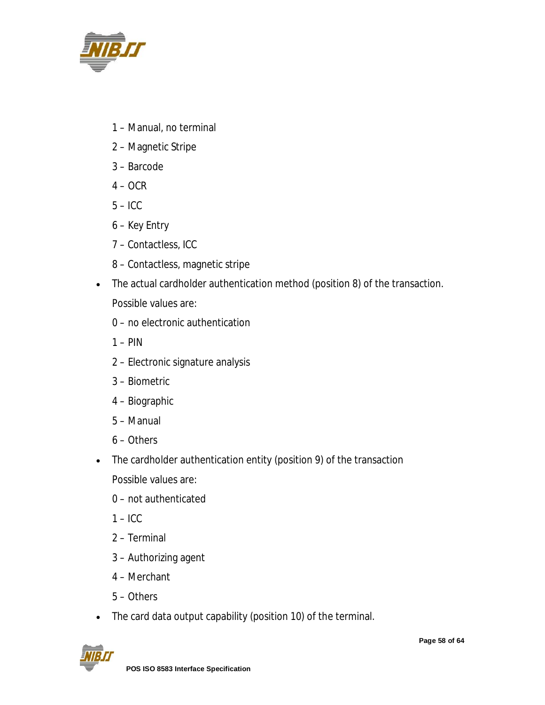

- 1 Manual, no terminal
- 2 Magnetic Stripe
- 3 Barcode
- $4 OCR$
- $5 -$ ICC
- 6 Key Entry
- 7 Contactless, ICC
- 8 Contactless, magnetic stripe
- The actual cardholder authentication method (position 8) of the transaction.

Possible values are:

- 0 no electronic authentication
- $1 PIN$
- 2 Electronic signature analysis
- 3 Biometric
- 4 Biographic
- 5 Manual
- 6 Others
- The cardholder authentication entity (position 9) of the transaction
	- Possible values are:
	- 0 not authenticated
	- $1 -$ ICC
	- 2 Terminal
	- 3 Authorizing agent
	- 4 Merchant
	- 5 Others
- The card data output capability (position 10) of the terminal.

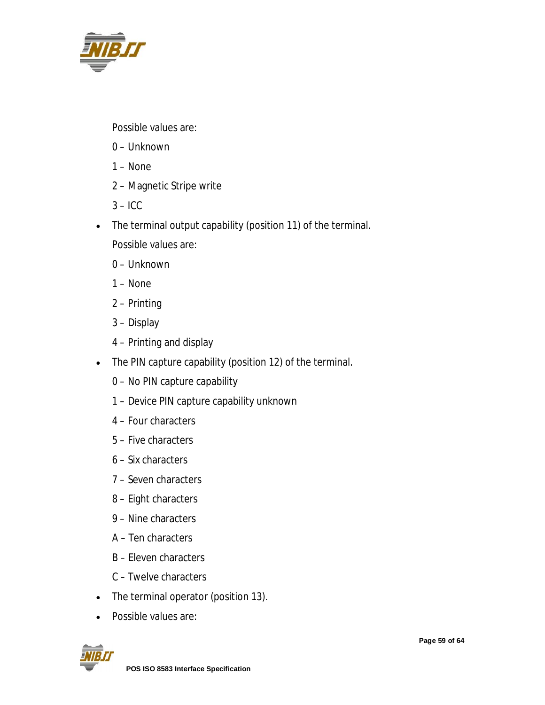

Possible values are:

- 0 Unknown
- 1 None
- 2 Magnetic Stripe write
- $3 -$ ICC
- The terminal output capability (position 11) of the terminal.
	- Possible values are:
	- 0 Unknown
	- 1 None
	- 2 Printing
	- 3 Display
	- 4 Printing and display
- The PIN capture capability (position 12) of the terminal.
	- 0 No PIN capture capability
	- 1 Device PIN capture capability unknown
	- 4 Four characters
	- 5 Five characters
	- 6 Six characters
	- 7 Seven characters
	- 8 Eight characters
	- 9 Nine characters
	- A Ten characters
	- B Eleven characters
	- C Twelve characters
- The terminal operator (position 13).
- Possible values are:

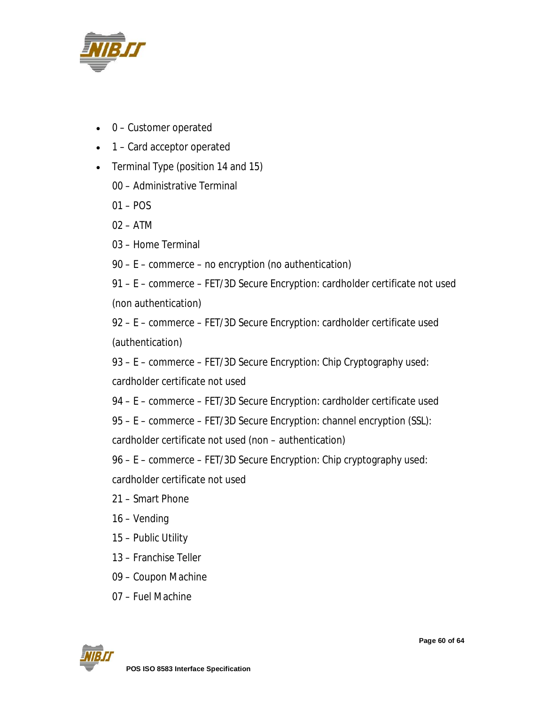

- 0 Customer operated
- 1 Card acceptor operated
- Terminal Type (position 14 and 15)
	- 00 Administrative Terminal
	- 01 POS
	- 02 ATM
	- 03 Home Terminal
	- 90 E commerce no encryption (no authentication)

91 – E – commerce – FET/3D Secure Encryption: cardholder certificate not used (non authentication)

92 – E – commerce – FET/3D Secure Encryption: cardholder certificate used (authentication)

93 – E – commerce – FET/3D Secure Encryption: Chip Cryptography used:

cardholder certificate not used

94 – E – commerce – FET/3D Secure Encryption: cardholder certificate used

95 – E – commerce – FET/3D Secure Encryption: channel encryption (SSL):

cardholder certificate not used (non – authentication)

96 – E – commerce – FET/3D Secure Encryption: Chip cryptography used:

cardholder certificate not used

- 21 Smart Phone
- 16 Vending
- 15 Public Utility
- 13 Franchise Teller
- 09 Coupon Machine
- 07 Fuel Machine

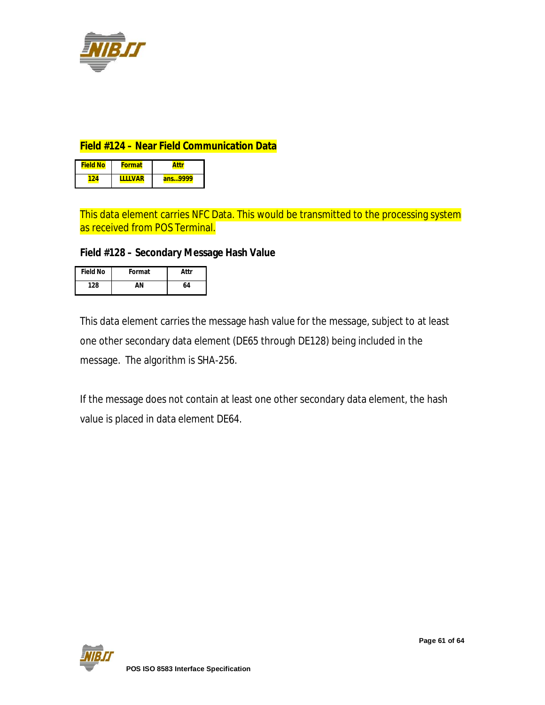

#### **Field #124 – Near Field Communication Data**

| <b>Field No</b> | <b>Format</b> |         |
|-----------------|---------------|---------|
|                 | <b>VAP</b>    | ans9999 |

This data element carries NFC Data. This would be transmitted to the processing system as received from POS Terminal.

#### **Field #128 – Secondary Message Hash Value**

| <b>Field No</b> | Format | Attr |
|-----------------|--------|------|
| 128             | ΔN     | 64   |

This data element carries the message hash value for the message, subject to at least one other secondary data element (DE65 through DE128) being included in the message. The algorithm is SHA-256.

If the message does not contain at least one other secondary data element, the hash value is placed in data element DE64.

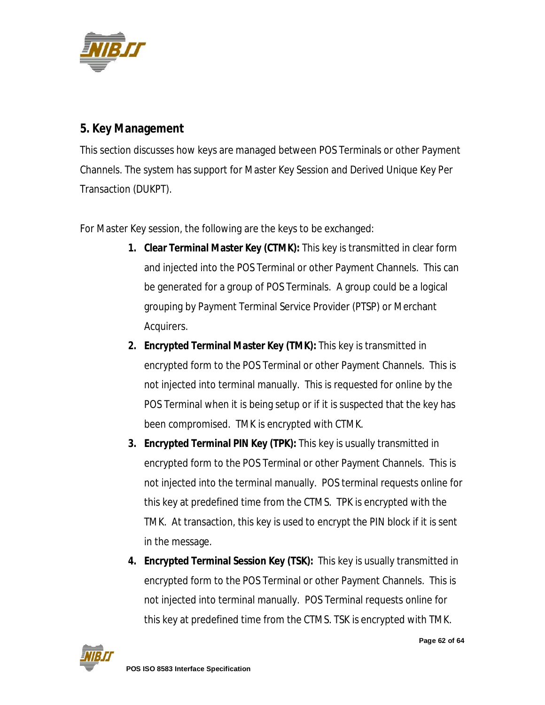

## **5. Key Management**

This section discusses how keys are managed between POS Terminals or other Payment Channels. The system has support for Master Key Session and Derived Unique Key Per Transaction (DUKPT).

For Master Key session, the following are the keys to be exchanged:

- **1. Clear Terminal Master Key (CTMK):** This key is transmitted in clear form and injected into the POS Terminal or other Payment Channels. This can be generated for a group of POS Terminals. A group could be a logical grouping by Payment Terminal Service Provider (PTSP) or Merchant Acquirers.
- **2. Encrypted Terminal Master Key (TMK):** This key is transmitted in encrypted form to the POS Terminal or other Payment Channels. This is not injected into terminal manually. This is requested for online by the POS Terminal when it is being setup or if it is suspected that the key has been compromised. TMK is encrypted with CTMK.
- **3. Encrypted Terminal PIN Key (TPK):** This key is usually transmitted in encrypted form to the POS Terminal or other Payment Channels. This is not injected into the terminal manually. POS terminal requests online for this key at predefined time from the CTMS. TPK is encrypted with the TMK. At transaction, this key is used to encrypt the PIN block if it is sent in the message.
- **4. Encrypted Terminal Session Key (TSK):** This key is usually transmitted in encrypted form to the POS Terminal or other Payment Channels. This is not injected into terminal manually. POS Terminal requests online for this key at predefined time from the CTMS. TSK is encrypted with TMK.

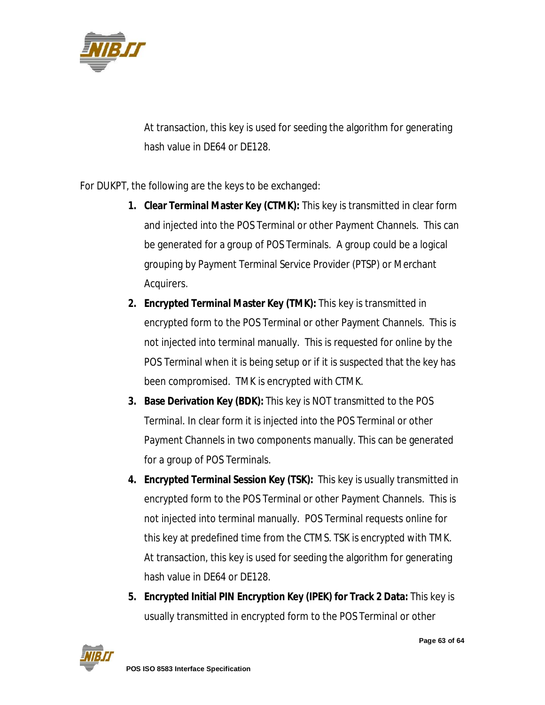

At transaction, this key is used for seeding the algorithm for generating hash value in DE64 or DE128.

For DUKPT, the following are the keys to be exchanged:

- **1. Clear Terminal Master Key (CTMK):** This key is transmitted in clear form and injected into the POS Terminal or other Payment Channels. This can be generated for a group of POS Terminals. A group could be a logical grouping by Payment Terminal Service Provider (PTSP) or Merchant Acquirers.
- **2. Encrypted Terminal Master Key (TMK):** This key is transmitted in encrypted form to the POS Terminal or other Payment Channels. This is not injected into terminal manually. This is requested for online by the POS Terminal when it is being setup or if it is suspected that the key has been compromised. TMK is encrypted with CTMK.
- **3. Base Derivation Key (BDK):** This key is NOT transmitted to the POS Terminal. In clear form it is injected into the POS Terminal or other Payment Channels in two components manually. This can be generated for a group of POS Terminals.
- **4. Encrypted Terminal Session Key (TSK):** This key is usually transmitted in encrypted form to the POS Terminal or other Payment Channels. This is not injected into terminal manually. POS Terminal requests online for this key at predefined time from the CTMS. TSK is encrypted with TMK. At transaction, this key is used for seeding the algorithm for generating hash value in DE64 or DE128.
- **5. Encrypted Initial PIN Encryption Key (IPEK) for Track 2 Data:** This key is usually transmitted in encrypted form to the POS Terminal or other